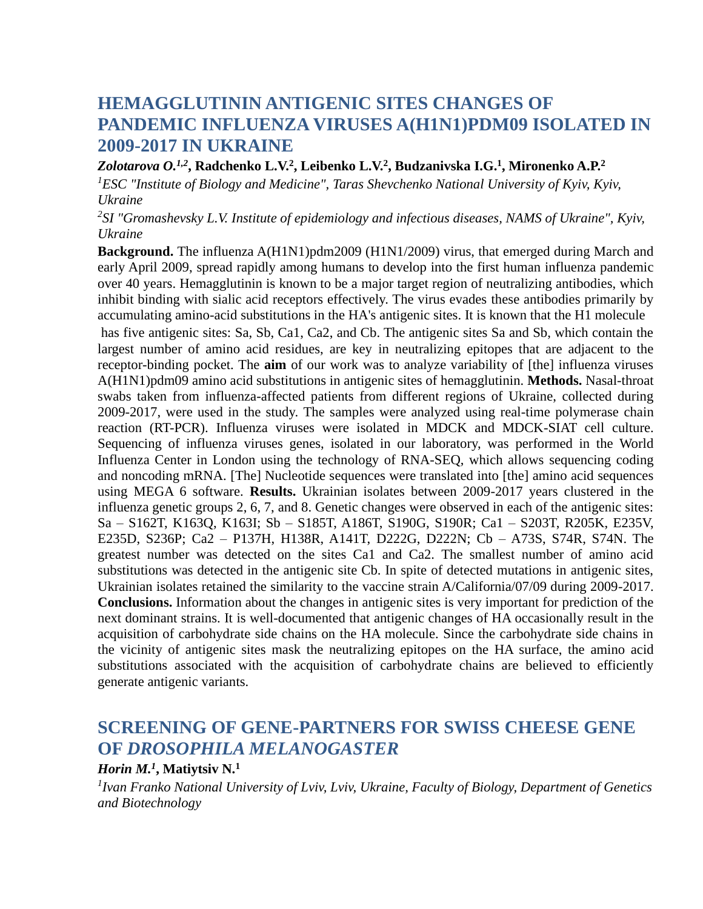# **HEMAGGLUTININ ANTIGENIC SITES CHANGES OF PANDEMIC INFLUENZA VIRUSES A(H1N1)PDM09 ISOLATED IN 2009-2017 IN UKRAINE**

### *Zolotarova O.1,2***, Radchenko L.V.<sup>2</sup> , Leibenko L.V.<sup>2</sup> , Budzanivska I.G.<sup>1</sup> , Mironenko A.P.<sup>2</sup>**

*<sup>1</sup>ESC "Institute of Biology and Medicine", Taras Shevchenko National University of Kyiv, Kyiv, Ukraine*

*2 SI "Gromashevsky L.V. Institute of epidemiology and infectious diseases, NAMS of Ukraine", Kyiv, Ukraine* 

**Background.** The influenza A(H1N1)pdm2009 (H1N1/2009) virus, that emerged during March and early April 2009, spread rapidly among humans to develop into the first human influenza pandemic over 40 years. Hemagglutinin is known to be a major target region of neutralizing antibodies, which inhibit binding with sialic acid receptors effectively. The virus evades these antibodies primarily by accumulating amino-acid substitutions in the HA's antigenic sites. It is known that the H1 molecule has five antigenic sites: Sa, Sb, Ca1, Ca2, and Cb. The antigenic sites Sa and Sb, which contain the largest number of amino acid residues, are key in neutralizing epitopes that are adjacent to the receptor-binding pocket. The **aim** of our work was to analyze variability of [the] influenza viruses A(H1N1)pdm09 amino acid substitutions in antigenic sites of hemagglutinin. **Methods.** Nasal-throat swabs taken from influenza-affected patients from different regions of Ukraine, collected during 2009-2017, were used in the study. The samples were analyzed using real-time polymerase chain reaction (RT-PCR). Influenza viruses were isolated in MDCK and MDCK-SIAT cell culture. Sequencing of influenza viruses genes, isolated in our laboratory, was performed in the World Influenza Center in London using the technology of RNA-SEQ, which allows sequencing coding and noncoding mRNA. [The] Nucleotide sequences were translated into [the] amino acid sequences using MEGA 6 software. **Results.** Ukrainian isolates between 2009-2017 years clustered in the influenza genetic groups 2, 6, 7, and 8. Genetic changes were observed in each of the antigenic sites: Sa – S162T, K163Q, K163I; Sb – S185T, A186T, S190G, S190R; Ca1 – S203T, R205K, E235V, E235D, S236P; Ca2 – P137H, H138R, A141T, D222G, D222N; Cb – A73S, S74R, S74N. The greatest number was detected on the sites Ca1 and Ca2. The smallest number of amino acid substitutions was detected in the antigenic site Cb. In spite of detected mutations in antigenic sites, Ukrainian isolates retained the similarity to the vaccine strain A/California/07/09 during 2009-2017. **Conclusions.** Information about the changes in antigenic sites is very important for prediction of the next dominant strains. It is well-documented that antigenic changes of HA occasionally result in the acquisition of carbohydrate side chains on the HA molecule. Since the carbohydrate side chains in the vicinity of antigenic sites mask the neutralizing epitopes on the HA surface, the amino acid substitutions associated with the acquisition of carbohydrate chains are believed to efficiently generate antigenic variants.

# **SCREENING OF GENE-PARTNERS FOR SWISS CHEESE GENE OF** *DROSOPHILA MELANOGASTER*

#### *Horin M.<sup>1</sup>* **, Matiytsiv N.<sup>1</sup>**

*1 Ivan Franko National University of Lviv, Lviv, Ukraine, Faculty of Biology, Department of Genetics and Biotechnology*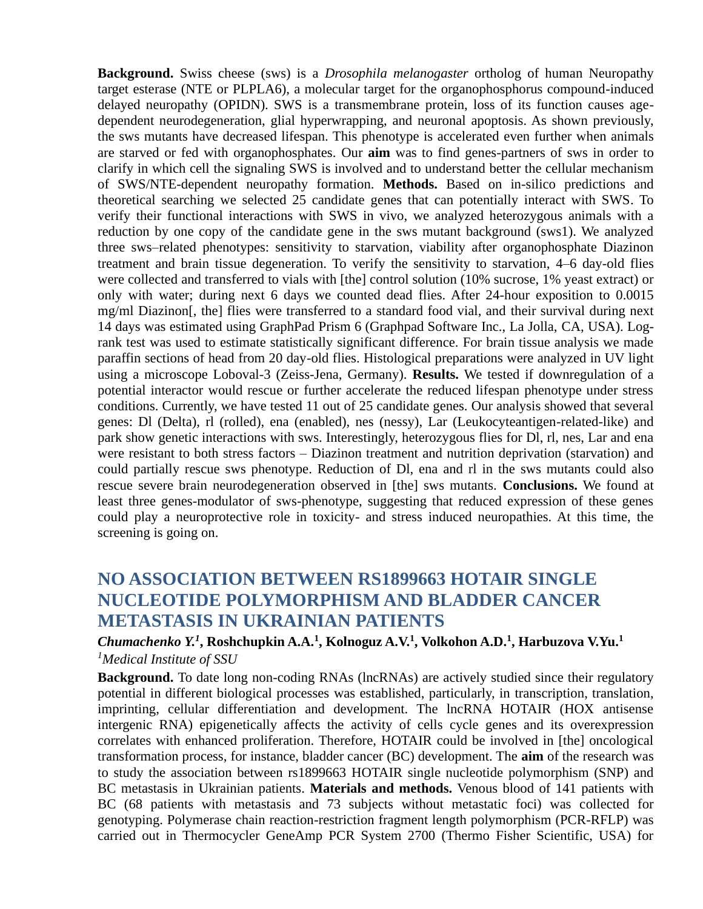**Background.** Swiss cheese (sws) is a *Drosophila melanogaster* ortholog of human Neuropathy target esterase (NTE or PLPLA6), a molecular target for the organophosphorus compound-induced delayed neuropathy (OPIDN). SWS is a transmembrane protein, loss of its function causes agedependent neurodegeneration, glial hyperwrapping, and neuronal apoptosis. As shown previously, the sws mutants have decreased lifespan. This phenotype is accelerated even further when animals are starved or fed with organophosphates. Our **aim** was to find genes-partners of sws in order to clarify in which cell the signaling SWS is involved and to understand better the cellular mechanism of SWS/NTE-dependent neuropathy formation. **Methods.** Based on in-silico predictions and theoretical searching we selected 25 candidate genes that can potentially interact with SWS. To verify their functional interactions with SWS in vivo, we analyzed heterozygous animals with a reduction by one copy of the candidate gene in the sws mutant background (sws1). We analyzed three sws–related phenotypes: sensitivity to starvation, viability after organophosphate Diazinon treatment and brain tissue degeneration. To verify the sensitivity to starvation, 4–6 day-old flies were collected and transferred to vials with [the] control solution (10% sucrose, 1% yeast extract) or only with water; during next 6 days we counted dead flies. After 24-hour exposition to 0.0015 mg/ml Diazinon[, the] flies were transferred to a standard food vial, and their survival during next 14 days was estimated using GraphPad Prism 6 (Graphpad Software Inc., La Jolla, CA, USA). Logrank test was used to estimate statistically significant difference. For brain tissue analysis we made paraffin sections of head from 20 day-old flies. Histological preparations were analyzed in UV light using a microscope Loboval-3 (Zeiss-Jena, Germany). **Results.** We tested if downregulation of a potential interactor would rescue or further accelerate the reduced lifespan phenotype under stress conditions. Currently, we have tested 11 out of 25 candidate genes. Our analysis showed that several genes: Dl (Delta), rl (rolled), ena (enabled), nes (nessy), Lar (Leukocyteantigen-related-like) and park show genetic interactions with sws. Interestingly, heterozygous flies for Dl, rl, nes, Lar and ena were resistant to both stress factors – Diazinon treatment and nutrition deprivation (starvation) and could partially rescue sws phenotype. Reduction of Dl, ena and rl in the sws mutants could also rescue severe brain neurodegeneration observed in [the] sws mutants. **Conclusions.** We found at least three genes-modulator of sws-phenotype, suggesting that reduced expression of these genes could play a neuroprotective role in toxicity- and stress induced neuropathies. At this time, the screening is going on.

# **NO ASSOCIATION BETWEEN RS1899663 HOTAIR SINGLE NUCLEOTIDE POLYMORPHISM AND BLADDER CANCER METASTASIS IN UKRAINIAN PATIENTS**

#### *Chumachenko Y.<sup>1</sup>* **, Roshchupkin A.A.<sup>1</sup> , Kolnoguz A.V.<sup>1</sup> , Volkohon A.D.<sup>1</sup> , Harbuzova V.Yu.<sup>1</sup>** *<sup>1</sup>Medical Institute of SSU*

**Background.** To date long non-coding RNAs (lncRNAs) are actively studied since their regulatory potential in different biological processes was established, particularly, in transcription, translation, imprinting, cellular differentiation and development. The lncRNA HOTAIR (HOX antisense intergenic RNA) epigenetically affects the activity of cells cycle genes and its overexpression correlates with enhanced proliferation. Therefore, HOTAIR could be involved in [the] oncological transformation process, for instance, bladder cancer (BC) development. The **aim** of the research was to study the association between rs1899663 HOTAIR single nucleotide polymorphism (SNP) and BC metastasis in Ukrainian patients. **Materials and methods.** Venous blood of 141 patients with BC (68 patients with metastasis and 73 subjects without metastatic foci) was collected for genotyping. Polymerase chain reaction-restriction fragment length polymorphism (PCR-RFLP) was carried out in Thermocycler GeneAmp PCR System 2700 (Thermo Fisher Scientific, USA) for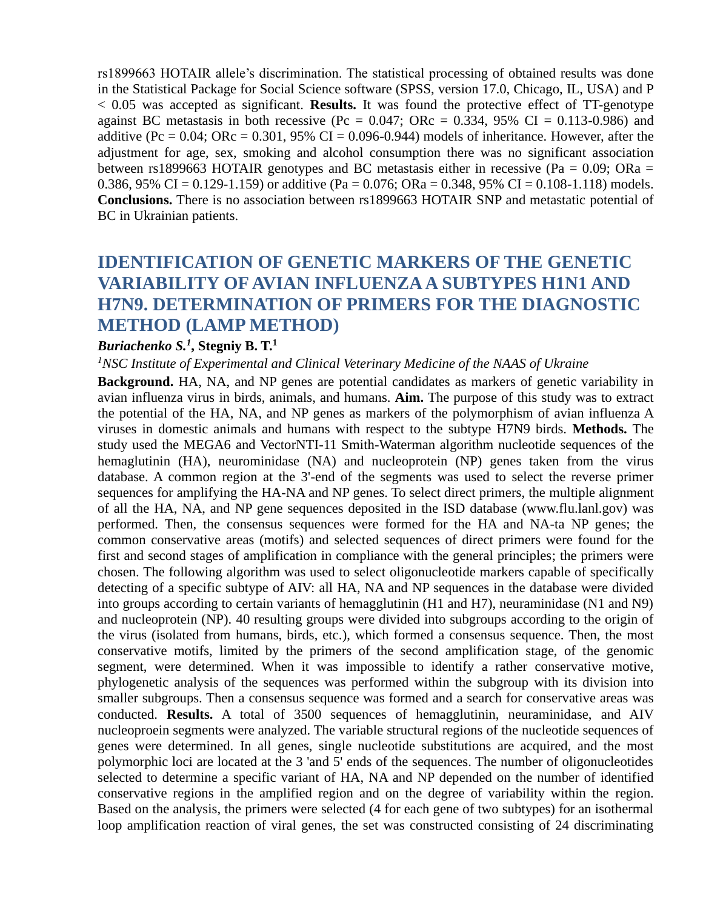rs1899663 HOTAIR allele's discrimination. The statistical processing of obtained results was done in the Statistical Package for Social Science software (SPSS, version 17.0, Chicago, IL, USA) and P < 0.05 was accepted as significant. **Results.** It was found the protective effect of TT-genotype against BC metastasis in both recessive (Pc =  $0.047$ ; ORc =  $0.334$ , 95% CI =  $0.113$ -0.986) and additive (Pc = 0.04; ORc = 0.301, 95% CI = 0.096-0.944) models of inheritance. However, after the adjustment for age, sex, smoking and alcohol consumption there was no significant association between rs1899663 HOTAIR genotypes and BC metastasis either in recessive (Pa =  $0.09$ ; ORa = 0.386, 95% CI = 0.129-1.159) or additive (Pa = 0.076; ORa = 0.348, 95% CI = 0.108-1.118) models. **Conclusions.** There is no association between rs1899663 HOTAIR SNP and metastatic potential of BC in Ukrainian patients.

# **IDENTIFICATION OF GENETIC MARKERS OF THE GENETIC VARIABILITY OF AVIAN INFLUENZA A SUBTYPES H1N1 AND H7N9. DETERMINATION OF PRIMERS FOR THE DIAGNOSTIC METHOD (LAMP METHOD)**

#### *Buriachenko S.<sup>1</sup>* **, Stegniy B. T. 1**

#### *<sup>1</sup>NSC Institute of Experimental and Clinical Veterinary Medicine of the NAAS of Ukraine*

**Background.** HA, NA, and NP genes are potential candidates as markers of genetic variability in avian influenza virus in birds, animals, and humans. **Aim.** The purpose of this study was to extract the potential of the HA, NA, and NP genes as markers of the polymorphism of avian influenza A viruses in domestic animals and humans with respect to the subtype H7N9 birds. **Methods.** The study used the MEGA6 and VectorNTI-11 Smith-Waterman algorithm nucleotide sequences of the hemaglutinin (HA), neurominidase (NA) and nucleoprotein (NP) genes taken from the virus database. A common region at the 3'-end of the segments was used to select the reverse primer sequences for amplifying the HA-NA and NP genes. To select direct primers, the multiple alignment of all the HA, NA, and NP gene sequences deposited in the ISD database (www.flu.lanl.gov) was performed. Then, the consensus sequences were formed for the HA and NA-ta NP genes; the common conservative areas (motifs) and selected sequences of direct primers were found for the first and second stages of amplification in compliance with the general principles; the primers were chosen. The following algorithm was used to select oligonucleotide markers capable of specifically detecting of a specific subtype of AIV: all HA, NA and NP sequences in the database were divided into groups according to certain variants of hemagglutinin (H1 and H7), neuraminidase (N1 and N9) and nucleoprotein (NP). 40 resulting groups were divided into subgroups according to the origin of the virus (isolated from humans, birds, etc.), which formed a consensus sequence. Then, the most conservative motifs, limited by the primers of the second amplification stage, of the genomic segment, were determined. When it was impossible to identify a rather conservative motive, phylogenetic analysis of the sequences was performed within the subgroup with its division into smaller subgroups. Then a consensus sequence was formed and a search for conservative areas was conducted. **Results.** A total of 3500 sequences of hemagglutinin, neuraminidase, and AIV nucleoproein segments were analyzed. The variable structural regions of the nucleotide sequences of genes were determined. In all genes, single nucleotide substitutions are acquired, and the most polymorphic loci are located at the 3 'and 5' ends of the sequences. The number of oligonucleotides selected to determine a specific variant of HA, NA and NP depended on the number of identified conservative regions in the amplified region and on the degree of variability within the region. Based on the analysis, the primers were selected (4 for each gene of two subtypes) for an isothermal loop amplification reaction of viral genes, the set was constructed consisting of 24 discriminating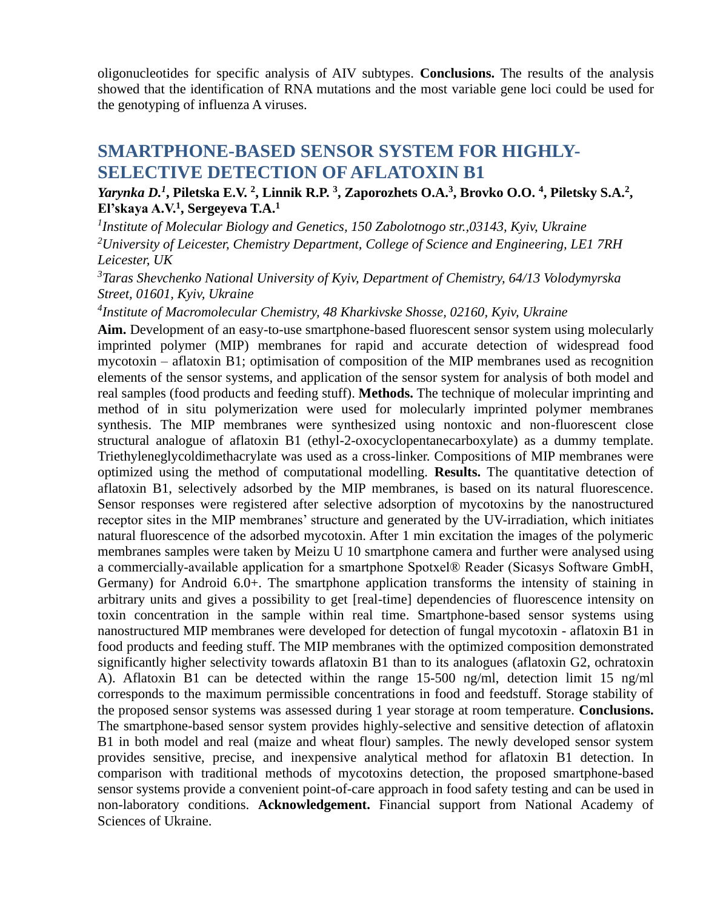oligonucleotides for specific analysis of AIV subtypes. **Conclusions.** The results of the analysis showed that the identification of RNA mutations and the most variable gene loci could be used for the genotyping of influenza A viruses.

### **SMARTPHONE-BASED SENSOR SYSTEM FOR HIGHLY-SELECTIVE DETECTION OF AFLATOXIN B1**

### *Yarynka D.<sup>1</sup>* **, Piletska E.V. <sup>2</sup> , Linnik R.P. <sup>3</sup> , Zaporozhets O.A.<sup>3</sup> , Brovko O.O. <sup>4</sup> , Piletsky S.A.<sup>2</sup> , El'skaya A.V.<sup>1</sup> , Sergeyeva T.A.<sup>1</sup>**

*1 Institute of Molecular Biology and Genetics, 150 Zabolotnogo str.,03143, Kyiv, Ukraine <sup>2</sup>University of Leicester, Chemistry Department, College of Science and Engineering, LE1 7RH Leicester, UK*

*<sup>3</sup>Taras Shevchenko National University of Kyiv, Department of Chemistry, 64/13 Volodymyrska Street, 01601, Kyiv, Ukraine*

*4 Institute of Macromolecular Chemistry, 48 Kharkivske Shosse, 02160, Kyiv, Ukraine*

**Aim.** Development of an easy-to-use smartphone-based fluorescent sensor system using molecularly imprinted polymer (MIP) membranes for rapid and accurate detection of widespread food mycotoxin – aflatoxin B1; optimisation of composition of the MIP membranes used as recognition elements of the sensor systems, and application of the sensor system for analysis of both model and real samples (food products and feeding stuff). **Methods.** The technique of molecular imprinting and method of in situ polymerization were used for molecularly imprinted polymer membranes synthesis. The MIP membranes were synthesized using nontoxic and non-fluorescent close structural analogue of aflatoxin B1 (ethyl-2-oxocyclopentanecarboxylate) as a dummy template. Triethyleneglycoldimethacrylate was used as a cross-linker. Compositions of MIP membranes were optimized using the method of computational modelling. **Results.** The quantitative detection of aflatoxin B1, selectively adsorbed by the MIP membranes, is based on its natural fluorescence. Sensor responses were registered after selective adsorption of mycotoxins by the nanostructured receptor sites in the MIP membranes' structure and generated by the UV-irradiation, which initiates natural fluorescence of the adsorbed mycotoxin. After 1 min excitation the images of the polymeric membranes samples were taken by Meizu U 10 smartphone camera and further were analysed using a commercially-available application for a smartphone Spotxel® Reader (Sicasys Software GmbH, Germany) for Android 6.0+. The smartphone application transforms the intensity of staining in arbitrary units and gives a possibility to get [real-time] dependencies of fluorescence intensity on toxin concentration in the sample within real time. Smartphone-based sensor systems using nanostructured MIP membranes were developed for detection of fungal mycotoxin - aflatoxin B1 in food products and feeding stuff. The MIP membranes with the optimized composition demonstrated significantly higher selectivity towards aflatoxin B1 than to its analogues (aflatoxin G2, ochratoxin A). Aflatoxin B1 can be detected within the range 15-500 ng/ml, detection limit 15 ng/ml corresponds to the maximum permissible concentrations in food and feedstuff. Storage stability of the proposed sensor systems was assessed during 1 year storage at room temperature. **Conclusions.** The smartphone-based sensor system provides highly-selective and sensitive detection of aflatoxin B1 in both model and real (maize and wheat flour) samples. The newly developed sensor system provides sensitive, precise, and inexpensive analytical method for aflatoxin B1 detection. In comparison with traditional methods of mycotoxins detection, the proposed smartphone-based sensor systems provide a convenient point-of-care approach in food safety testing and can be used in non-laboratory conditions. **Acknowledgement.** Financial support from National Academy of Sciences of Ukraine.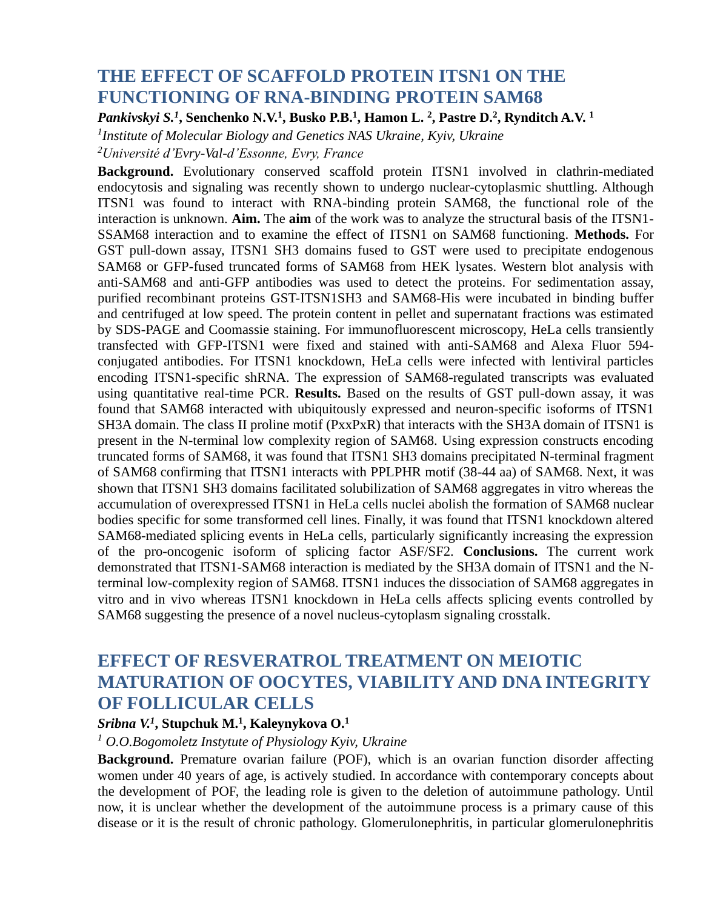### **THE EFFECT OF SCAFFOLD PROTEIN ITSN1 ON THE FUNCTIONING OF RNA-BINDING PROTEIN SAM68**

#### *Pankivskyi S.<sup>1</sup>* **, Senchenko N.V.<sup>1</sup> , Busko P.B.<sup>1</sup> , Hamon L. <sup>2</sup> , Pastre D.<sup>2</sup> , Rynditch A.V. <sup>1</sup>**

*1 Institute of Molecular Biology and Genetics NAS Ukraine, Kyiv, Ukraine <sup>2</sup>Université d'Evry-Val-d'Essonne, Evry, France*

**Background.** Evolutionary conserved scaffold protein ITSN1 involved in clathrin-mediated endocytosis and signaling was recently shown to undergo nuclear-cytoplasmic shuttling. Although ITSN1 was found to interact with RNA-binding protein SAM68, the functional role of the interaction is unknown. **Aim.** The **aim** of the work was to analyze the structural basis of the ITSN1- SSAM68 interaction and to examine the effect of ITSN1 on SAM68 functioning. **Methods.** For GST pull-down assay, ITSN1 SH3 domains fused to GST were used to precipitate endogenous SAM68 or GFP-fused truncated forms of SAM68 from HEK lysates. Western blot analysis with anti-SAM68 and anti-GFP antibodies was used to detect the proteins. For sedimentation assay, purified recombinant proteins GST-ITSN1SH3 and SAM68-His were incubated in binding buffer and centrifuged at low speed. The protein content in pellet and supernatant fractions was estimated by SDS-PAGE and Coomassie staining. For immunofluorescent microscopy, HeLa cells transiently transfected with GFP-ITSN1 were fixed and stained with anti-SAM68 and Alexa Fluor 594 conjugated antibodies. For ITSN1 knockdown, HeLa cells were infected with lentiviral particles encoding ITSN1-specific shRNA. The expression of SAM68-regulated transcripts was evaluated using quantitative real-time PCR. **Results.** Based on the results of GST pull-down assay, it was found that SAM68 interacted with ubiquitously expressed and neuron-specific isoforms of ITSN1 SH3A domain. The class II proline motif (PxxPxR) that interacts with the SH3A domain of ITSN1 is present in the N-terminal low complexity region of SAM68. Using expression constructs encoding truncated forms of SAM68, it was found that ITSN1 SH3 domains precipitated N-terminal fragment of SAM68 confirming that ITSN1 interacts with PPLPHR motif (38-44 aa) of SAM68. Next, it was shown that ITSN1 SH3 domains facilitated solubilization of SAM68 aggregates in vitro whereas the accumulation of overexpressed ITSN1 in HeLa cells nuclei abolish the formation of SAM68 nuclear bodies specific for some transformed cell lines. Finally, it was found that ITSN1 knockdown altered SAM68-mediated splicing events in HeLa cells, particularly significantly increasing the expression of the pro-oncogenic isoform of splicing factor ASF/SF2. **Conclusions.** The current work demonstrated that ITSN1-SAM68 interaction is mediated by the SH3A domain of ITSN1 and the Nterminal low-complexity region of SAM68. ITSN1 induces the dissociation of SAM68 aggregates in vitro and in vivo whereas ITSN1 knockdown in HeLa cells affects splicing events controlled by SAM68 suggesting the presence of a novel nucleus-cytoplasm signaling crosstalk.

# **EFFECT OF RESVERATROL TREATMENT ON MEIOTIC MATURATION OF OOCYTES, VIABILITY AND DNA INTEGRITY OF FOLLICULAR CELLS**

### *Sribna V.<sup>1</sup>* **, Stupchuk M.<sup>1</sup> , Kaleynykova O.<sup>1</sup>**

#### *<sup>1</sup> O.O.Bogomoletz Instytute of Physiology Kyiv, Ukraine*

**Background.** Premature ovarian failure (POF), which is an ovarian function disorder affecting women under 40 years of age, is actively studied. In accordance with contemporary concepts about the development of POF, the leading role is given to the deletion of autoimmune pathology. Until now, it is unclear whether the development of the autoimmune process is a primary cause of this disease or it is the result of chronic pathology. Glomerulonephritis, in particular glomerulonephritis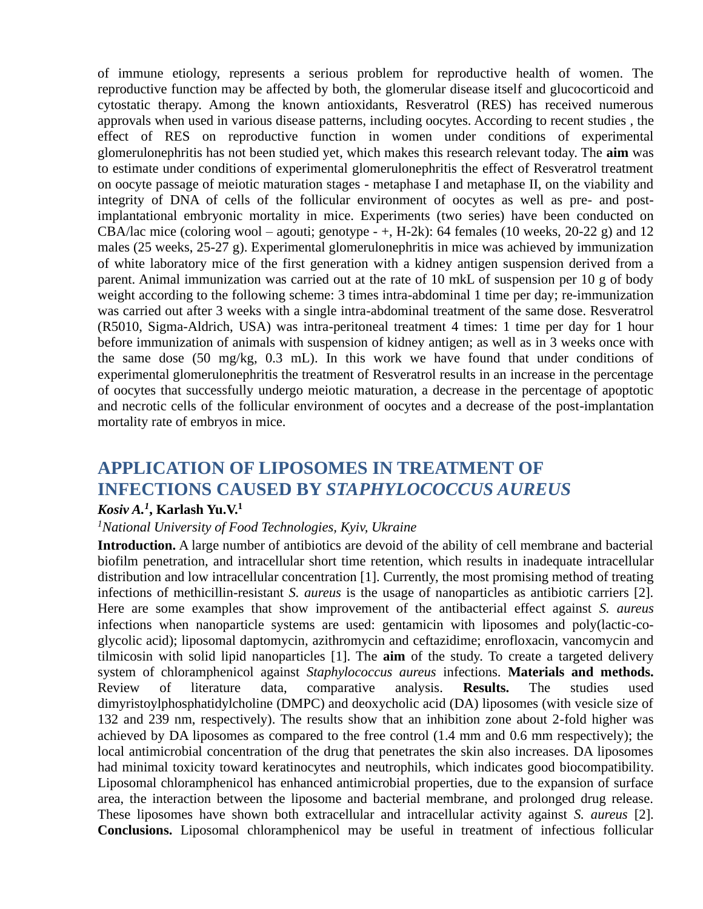of immune etiology, represents a serious problem for reproductive health of women. The reproductive function may be affected by both, the glomerular disease itself and glucocorticoid and cytostatic therapy. Among the known antioxidants, Resveratrol (RES) has received numerous approvals when used in various disease patterns, including oocytes. According to recent studies , the effect of RES on reproductive function in women under conditions of experimental glomerulonephritis has not been studied yet, which makes this research relevant today. The **aim** was to estimate under conditions of experimental glomerulonephritis the effect of Resveratrol treatment on oocyte passage of meiotic maturation stages - metaphase I and metaphase II, on the viability and integrity of DNA of cells of the follicular environment of oocytes as well as pre- and postimplantational embryonic mortality in mice. Experiments (two series) have been conducted on CBA/lac mice (coloring wool – agouti; genotype  $- +$ , H-2k): 64 females (10 weeks, 20-22 g) and 12 males (25 weeks, 25-27 g). Experimental glomerulonephritis in mice was achieved by immunization of white laboratory mice of the first generation with a kidney antigen suspension derived from a parent. Animal immunization was carried out at the rate of 10 mkL of suspension per 10 g of body weight according to the following scheme: 3 times intra-abdominal 1 time per day; re-immunization was carried out after 3 weeks with a single intra-abdominal treatment of the same dose. Resveratrol (R5010, Sigma-Aldrich, USA) was intra-peritoneal treatment 4 times: 1 time per day for 1 hour before immunization of animals with suspension of kidney antigen; as well as in 3 weeks once with the same dose (50 mg/kg, 0.3 mL). In this work we have found that under conditions of experimental glomerulonephritis the treatment of Resveratrol results in an increase in the percentage of oocytes that successfully undergo meiotic maturation, a decrease in the percentage of apoptotic and necrotic cells of the follicular environment of oocytes and a decrease of the post-implantation mortality rate of embryos in mice.

# **APPLICATION OF LIPOSOMES IN TREATMENT OF INFECTIONS CAUSED BY** *STAPHYLOCOCCUS AUREUS*

#### *Kosiv A.<sup>1</sup>* **, Karlash Yu.V.<sup>1</sup>**

#### *<sup>1</sup>National University of Food Technologies, Kyiv, Ukraine*

**Introduction.** A large number of antibiotics are devoid of the ability of cell membrane and bacterial biofilm penetration, and intracellular short time retention, which results in inadequate intracellular distribution and low intracellular concentration [1]. Currently, the most promising method of treating infections of methicillin-resistant *S. aureus* is the usage of nanoparticles as antibiotic carriers [2]. Here are some examples that show improvement of the antibacterial effect against *S. aureus* infections when nanoparticle systems are used: gentamicin with liposomes and poly(lactic-coglycolic acid); liposomal daptomycin, azithromycin and ceftazidime; enrofloxacin, vancomycin and tilmicosin with solid lipid nanoparticles [1]. The **aim** of the study. To create a targeted delivery system of chloramphenicol against *Staphylococcus aureus* infections. **Materials and methods.** Review of literature data, comparative analysis. **Results.** The studies used dimyristoylphosphatidylcholine (DMPC) and deoxycholic acid (DA) liposomes (with vesicle size of 132 and 239 nm, respectively). The results show that an inhibition zone about 2-fold higher was achieved by DA liposomes as compared to the free control (1.4 mm and 0.6 mm respectively); the local antimicrobial concentration of the drug that penetrates the skin also increases. DA liposomes had minimal toxicity toward keratinocytes and neutrophils, which indicates good biocompatibility. Liposomal chloramphenicol has enhanced antimicrobial properties, due to the expansion of surface area, the interaction between the liposome and bacterial membrane, and prolonged drug release. These liposomes have shown both extracellular and intracellular activity against *S. aureus* [2]. **Conclusions.** Liposomal chloramphenicol may be useful in treatment of infectious follicular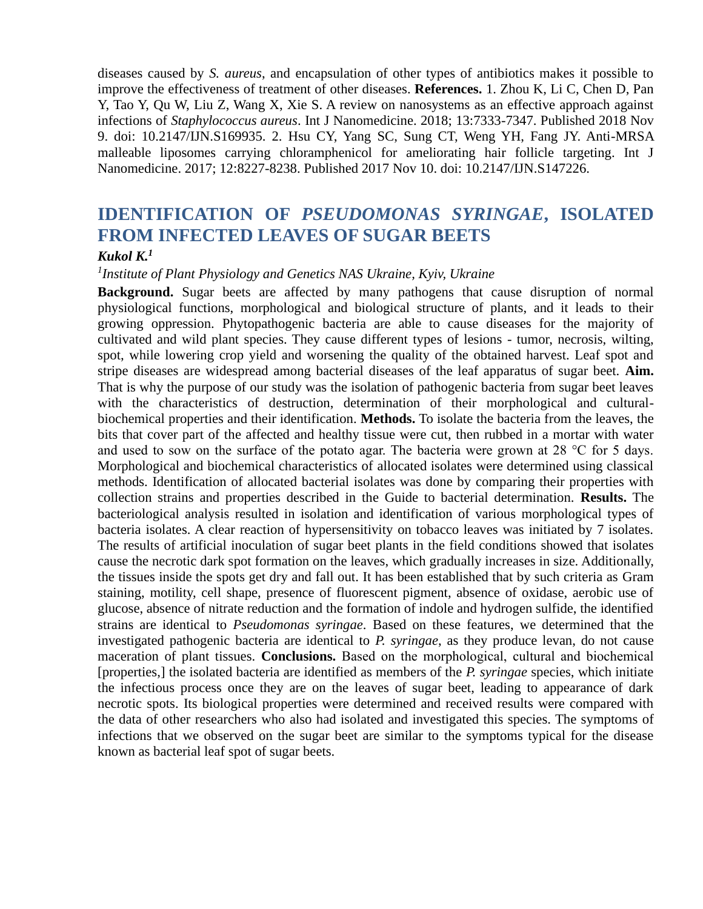diseases caused by *S. aureus*, and encapsulation of other types of antibiotics makes it possible to improve the effectiveness of treatment of other diseases. **References.** 1. Zhou K, Li C, Chen D, Pan Y, Tao Y, Qu W, Liu Z, Wang X, Xie S. A review on nanosystems as an effective approach against infections of *Staphylococcus aureus*. Int J Nanomedicine. 2018; 13:7333-7347. Published 2018 Nov 9. doi: 10.2147/IJN.S169935. 2. Hsu CY, Yang SC, Sung CT, Weng YH, Fang JY. Anti-MRSA malleable liposomes carrying chloramphenicol for ameliorating hair follicle targeting. Int J Nanomedicine. 2017; 12:8227-8238. Published 2017 Nov 10. doi: 10.2147/IJN.S147226.

### **IDENTIFICATION OF** *PSEUDOMONAS SYRINGAE***, ISOLATED FROM INFECTED LEAVES OF SUGAR BEETS** *Kukol K.<sup>1</sup>*

#### *1 Institute of Plant Physiology and Genetics NAS Ukraine, Kyiv, Ukraine*

**Background.** Sugar beets are affected by many pathogens that cause disruption of normal physiological functions, morphological and biological structure of plants, and it leads to their growing oppression. Phytopathogenic bacteria are able to cause diseases for the majority of cultivated and wild plant species. They cause different types of lesions - tumor, necrosis, wilting, spot, while lowering crop yield and worsening the quality of the obtained harvest. Leaf spot and stripe diseases are widespread among bacterial diseases of the leaf apparatus of sugar beet. **Aim.** That is why the purpose of our study was the isolation of pathogenic bacteria from sugar beet leaves with the characteristics of destruction, determination of their morphological and culturalbiochemical properties and their identification. **Methods.** To isolate the bacteria from the leaves, the bits that cover part of the affected and healthy tissue were cut, then rubbed in a mortar with water and used to sow on the surface of the potato agar. The bacteria were grown at 28 °C for 5 days. Morphological and biochemical characteristics of allocated isolates were determined using classical methods. Identification of allocated bacterial isolates was done by comparing their properties with collection strains and properties described in the Guide to bacterial determination. **Results.** The bacteriological analysis resulted in isolation and identification of various morphological types of bacteria isolates. A clear reaction of hypersensitivity on tobacco leaves was initiated by 7 isolates. The results of artificial inoculation of sugar beet plants in the field conditions showed that isolates cause the necrotic dark spot formation on the leaves, which gradually increases in size. Additionally, the tissues inside the spots get dry and fall out. It has been established that by such criteria as Gram staining, motility, cell shape, presence of fluorescent pigment, absence of oxidase, aerobic use of glucose, absence of nitrate reduction and the formation of indole and hydrogen sulfide, the identified strains are identical to *Pseudomonas syringae*. Based on these features, we determined that the investigated pathogenic bacteria are identical to *P. syringae*, as they produce levan, do not cause maceration of plant tissues. **Conclusions.** Вased on the morphological, cultural and biochemical [properties,] the isolated bacteria are identified as members of the *P. syringae* species, which initiate the infectious process once they are on the leaves of sugar beet, leading to appearance of dark necrotic spots. Its biological properties were determined and received results were compared with the data of other researchers who also had isolated and investigated this species. The symptoms of infections that we observed on the sugar beet are similar to the symptoms typical for the disease known as bacterial leaf spot of sugar beets.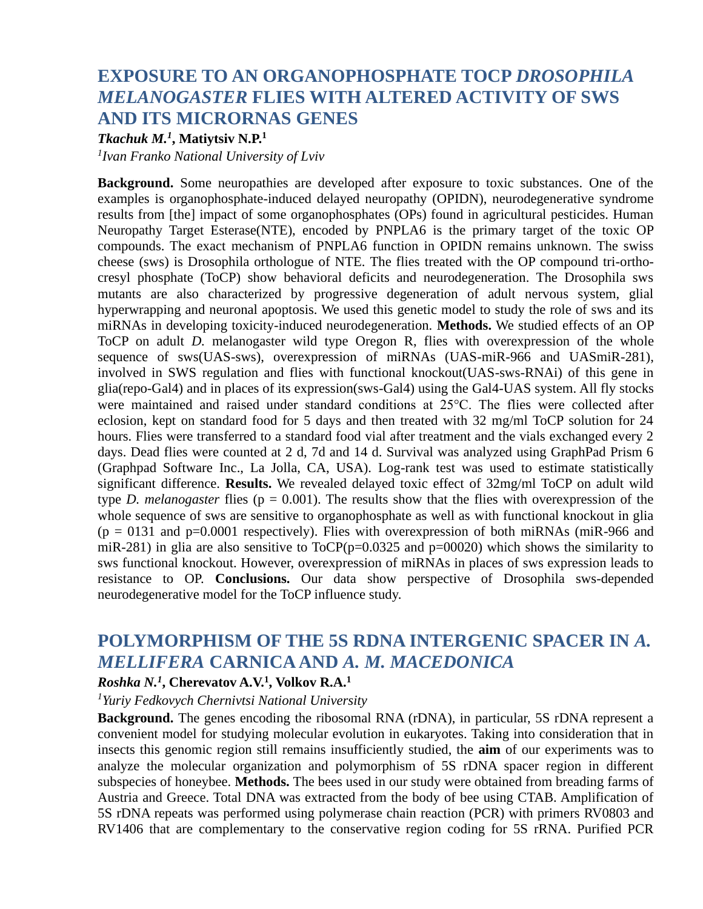## **EXPOSURE TO AN ORGANOPHOSPHATE TOCP** *DROSOPHILA MELANOGASTER* **FLIES WITH ALTERED ACTIVITY OF SWS AND ITS MICRORNAS GENES**

### *Tkachuk M.<sup>1</sup>* **, Matiytsiv N.P.<sup>1</sup>**

*1 Ivan Franko National University of Lviv*

**Background.** Some neuropathies are developed after exposure to toxic substances. One of the examples is organophosphate-induced delayed neuropathy (OPIDN), neurodegenerative syndrome results from [the] impact of some organophosphates (OPs) found in agricultural pesticides. Human Neuropathy Target Esterase(NTE), encoded by PNPLA6 is the primary target of the toxic OP compounds. The exact mechanism of PNPLA6 function in OPIDN remains unknown. The swiss cheese (sws) is Drosophila orthologue of NTE. The flies treated with the OP compound tri-orthocresyl phosphate (ToCP) show behavioral deficits and neurodegeneration. The Drosophila sws mutants are also characterized by progressive degeneration of adult nervous system, glial hyperwrapping and neuronal apoptosis. We used this genetic model to study the role of sws and its miRNAs in developing toxicity-induced neurodegeneration. **Methods.** We studied effects of an OP ToCP on adult *D.* melanogaster wild type Oregon R, flies with overexpression of the whole sequence of sws(UAS-sws), overexpression of miRNAs (UAS-miR-966 and UASmiR-281), involved in SWS regulation and flies with functional knockout(UAS-sws-RNAi) of this gene in glia(repo-Gal4) and in places of its expression(sws-Gal4) using the Gal4-UAS system. All fly stocks were maintained and raised under standard conditions at 25°C. The flies were collected after eclosion, kept on standard food for 5 days and then treated with 32 mg/ml ToCP solution for 24 hours. Flies were transferred to a standard food vial after treatment and the vials exchanged every 2 days. Dead flies were counted at 2 d, 7d and 14 d. Survival was analyzed using GraphPad Prism 6 (Graphpad Software Inc., La Jolla, CA, USA). Log-rank test was used to estimate statistically significant difference. **Results.** We revealed delayed toxic effect of 32mg/ml ToCP on adult wild type *D. melanogaster* flies ( $p = 0.001$ ). The results show that the flies with overexpression of the whole sequence of sws are sensitive to organophosphate as well as with functional knockout in glia  $(p = 0131$  and  $p=0.0001$  respectively). Flies with overexpression of both miRNAs (miR-966 and miR-281) in glia are also sensitive to  $ToCP(p=0.0325)$  and  $p=0.0020$  which shows the similarity to sws functional knockout. However, overexpression of miRNAs in places of sws expression leads to resistance to OP. **Conclusions.** Our data show perspective of Drosophila sws-depended neurodegenerative model for the ToCP influence study.

# **POLYMORPHISM OF THE 5S RDNA INTERGENIC SPACER IN** *A. MELLIFERA* **CARNICA AND** *A. M. MACEDONICA*

### *Roshka N.<sup>1</sup>* **, Cherevatov A.V.<sup>1</sup> , Volkov R.A.<sup>1</sup>**

*<sup>1</sup>Yuriy Fedkovych Chernivtsi National University*

**Background.** The genes encoding the ribosomal RNA (rDNA), in particular, 5S rDNA represent a convenient model for studying molecular evolution in eukaryotes. Taking into consideration that in insects this genomic region still remains insufficiently studied, the **aim** of our experiments was to analyze the molecular organization and polymorphism of 5S rDNA spacer region in different subspecies of honeybee. **Methods.** The bees used in our study were obtained from breading farms of Austria and Greece. Total DNA was extracted from the body of bee using CTAB. Amplification of 5S rDNA repeats was performed using polymerase chain reaction (PCR) with primers RV0803 and RV1406 that are complementary to the conservative region coding for 5S rRNA. Purified PCR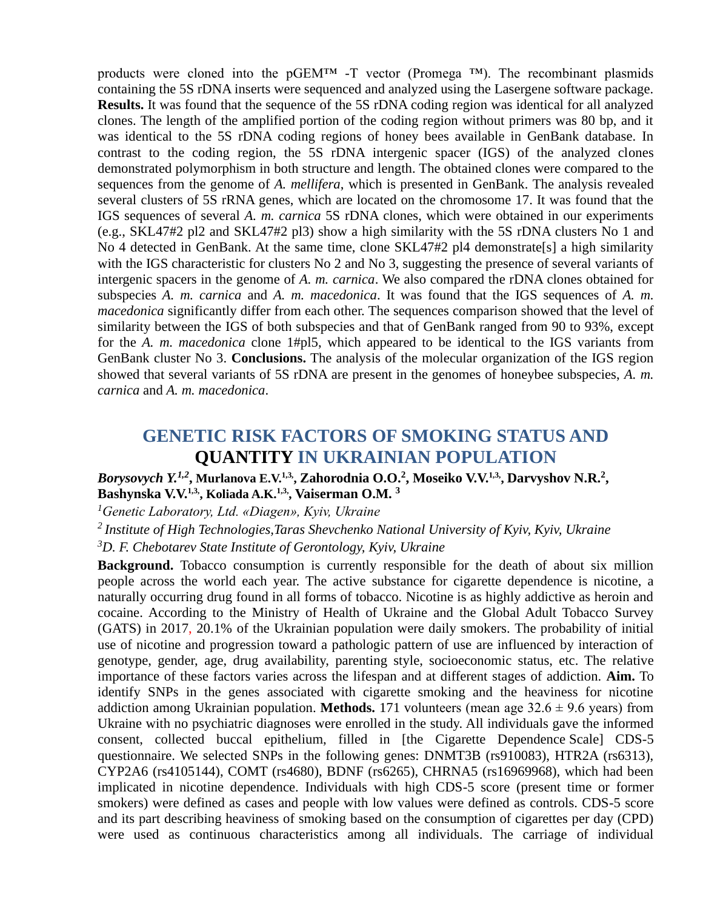products were cloned into the  $pGEM^{TM}$  -T vector (Promega  $TM$ ). The recombinant plasmids containing the 5S rDNA inserts were sequenced and analyzed using the Lasergene software package. **Results.** It was found that the sequence of the 5S rDNA coding region was identical for all analyzed clones. The length of the amplified portion of the coding region without primers was 80 bp, and it was identical to the 5S rDNA coding regions of honey bees available in GenBank database. In contrast to the coding region, the 5S rDNA intergenic spacer (IGS) of the analyzed clones demonstrated polymorphism in both structure and length. The obtained clones were compared to the sequences from the genome of *A. mellifera*, which is presented in GenBank. The analysis revealed several clusters of 5S rRNA genes, which are located on the chromosome 17. It was found that the IGS sequences of several *A. m. carnica* 5S rDNA clones, which were obtained in our experiments (e.g., SKL47#2 pl2 and SKL47#2 pl3) show a high similarity with the 5S rDNA clusters No 1 and No 4 detected in GenBank. At the same time, clone SKL47#2 pl4 demonstrate[s] a high similarity with the IGS characteristic for clusters No 2 and No 3, suggesting the presence of several variants of intergenic spacers in the genome of *A. m. carnica*. We also compared the rDNA clones obtained for subspecies *A. m. carnica* and *A. m. macedonica*. It was found that the IGS sequences of *A. m. macedonica* significantly differ from each other. The sequences comparison showed that the level of similarity between the IGS of both subspecies and that of GenBank ranged from 90 to 93%, except for the *A. m. macedonica* clone 1#pl5, which appeared to be identical to the IGS variants from GenBank cluster No 3. **Conclusions.** The analysis of the molecular organization of the IGS region showed that several variants of 5S rDNA are present in the genomes of honeybee subspecies, *A. m. carnica* and *A. m. macedonica*.

### **GENETIC RISK FACTORS OF SMOKING STATUS AND QUANTITY IN UKRAINIAN POPULATION**

#### *Borysovych Y.1,2* **, Murlanova E.V.1,3, , Zahorodnia O.O.<sup>2</sup> , Moseiko V.V.1,3, , Darvyshov N.R.<sup>2</sup> , Bashynska V.V.1,3,, Koliada A.K.1,3, , Vaiserman O.M. <sup>3</sup>**

*<sup>1</sup>Genetic Laboratory, Ltd. «Diagen», Kyiv, Ukraine*

*<sup>2</sup>Institute of High Technologies,Taras Shevchenko National University of Kyiv, Kyiv, Ukraine*

*<sup>3</sup>D. F. Chebotarev State Institute of Gerontology, Kyiv, Ukraine*

**Background.** Tobacco consumption is currently responsible for the death of about six million people across the world each year. The active substance for cigarette dependence is nicotine, a naturally occurring drug found in all forms of tobacco. Nicotine is as highly addictive as heroin and cocaine. According to the Ministry of Health of Ukraine and the Global Adult Tobacco Survey (GATS) in 2017, 20.1% of the Ukrainian population were daily smokers. The probability of initial use of nicotine and progression toward a pathologic pattern of use are influenced by interaction of genotype, gender, age, drug availability, parenting style, socioeconomic status, etc. The relative importance of these factors varies across the lifespan and at different stages of addiction. **Aim.** To identify SNPs in the genes associated with cigarette smoking and the heaviness for nicotine addiction among Ukrainian population. **Methods.** 171 volunteers (mean age  $32.6 \pm 9.6$  years) from Ukraine with no psychiatric diagnoses were enrolled in the study. All individuals gave the informed consent, collected buccal epithelium, filled in [the Cigarette Dependence Scale] CDS-5 questionnaire. We selected SNPs in the following genes: DNMT3B (rs910083), HTR2A (rs6313), CYP2A6 (rs4105144), COMT (rs4680), BDNF (rs6265), CHRNA5 (rs16969968), which had been implicated in nicotine dependence. Individuals with high CDS-5 score (present time or former smokers) were defined as cases and people with low values were defined as controls. CDS-5 score and its part describing heaviness of smoking based on the consumption of cigarettes per day (CPD) were used as continuous characteristics among all individuals. The carriage of individual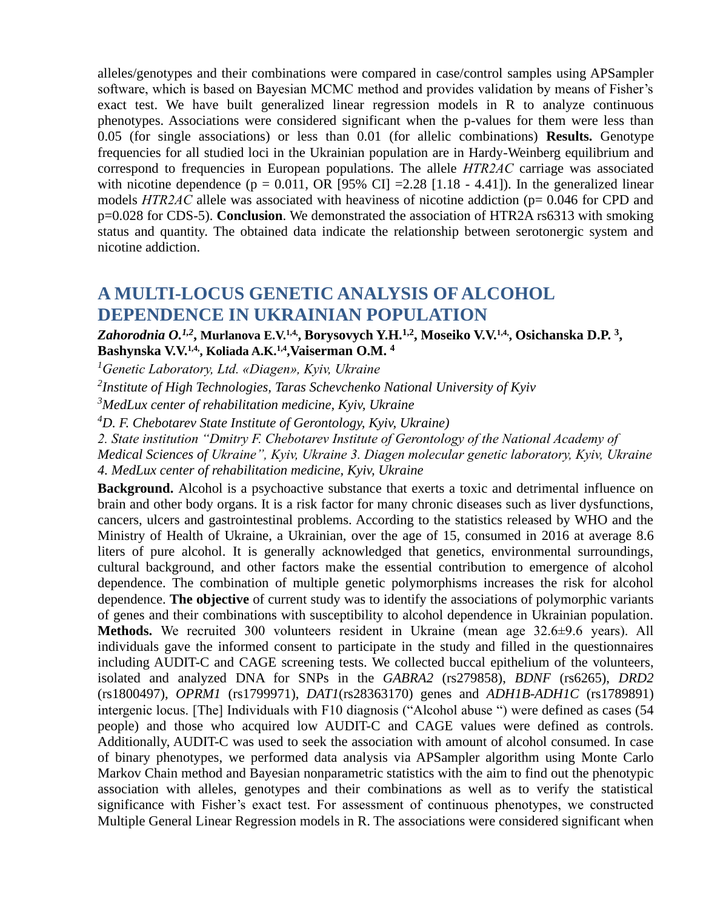alleles/genotypes and their combinations were compared in case/control samples using APSampler software, which is based on Bayesian MCMC method and provides validation by means of Fisher's exact test. We have built generalized linear regression models in R to analyze continuous phenotypes. Associations were considered significant when the p-values for them were less than 0.05 (for single associations) or less than 0.01 (for allelic combinations) **Results.** Genotype frequencies for all studied loci in the Ukrainian population are in Hardy-Weinberg equilibrium and correspond to frequencies in European populations. The allele *HTR2AС* carriage was associated with nicotine dependence ( $p = 0.011$ , OR [95% CI] = 2.28 [1.18 - 4.41]). In the generalized linear models *HTR2AC* allele was associated with heaviness of nicotine addiction (p= 0.046 for CPD and p=0.028 for CDS-5). **Conclusion**. We demonstrated the association of HTR2A rs6313 with smoking status and quantity. The obtained data indicate the relationship between serotonergic system and nicotine addiction.

# **A MULTI-LOCUS GENETIC ANALYSIS OF ALCOHOL DEPENDENCE IN UKRAINIAN POPULATION**

*Zahorodnia O.1,2* **, Murlanova E.V.1,4, , Borysovych Y.H.1,2, Moseiko V.V.1,4, , Osichanska D.P. <sup>3</sup> , Bashynska V.V.1,4,, Koliada A.K.1,4 ,Vaiserman O.M. <sup>4</sup>**

*<sup>1</sup>Genetic Laboratory, Ltd. «Diagen», Kyiv, Ukraine*

*2 Institute of High Technologies, Taras Schevchenko National University of Kyiv*

*<sup>3</sup>MedLux center of rehabilitation medicine, Kyiv, Ukraine*

*<sup>4</sup>D. F. Chebotarev State Institute of Gerontology, Kyiv, Ukraine)*

*2. State institution "Dmitry F. Chebotarev Institute of Gerontology of the National Academy of* 

*Medical Sciences of Ukraine", Kyiv, Ukraine 3. Diagen molecular genetic laboratory, Kyiv, Ukraine 4. MedLux center of rehabilitation medicine, Kyiv, Ukraine*

**Background.** Alcohol is a psychoactive substance that exerts a toxic and detrimental influence on brain and other body organs. It is a risk factor for many chronic diseases such as liver dysfunctions, cancers, ulcers and gastrointestinal problems. According to the statistics released by WHO and the Ministry of Health of Ukraine, a Ukrainian, over the age of 15, consumed in 2016 at average 8.6 liters of pure alcohol. It is generally acknowledged that genetics, environmental surroundings, cultural background, and other factors make the essential contribution to emergence of alcohol dependence. The combination of multiple genetic polymorphisms increases the risk for alcohol dependence. **The objective** of current study was to identify the associations of polymorphic variants of genes and their combinations with susceptibility to alcohol dependence in Ukrainian population. **Methods.** We recruited 300 volunteers resident in Ukraine (mean age 32.6±9.6 years). All individuals gave the informed consent to participate in the study and filled in the questionnaires including AUDIT-C and CAGE screening tests. We collected buccal epithelium of the volunteers, isolated and analyzed DNA for SNPs in the *GABRA2* (rs279858), *BDNF* (rs6265), *DRD2* (rs1800497), *OPRM1* (rs1799971), *DAT1*(rs28363170) genes and *ADH1B-ADH1C* (rs1789891) intergenic locus. [The] Individuals with F10 diagnosis ("Alcohol abuse ") were defined as cases (54 people) and those who acquired low AUDIT-C and CAGE values were defined as controls. Additionally, AUDIT-C was used to seek the association with amount of alcohol consumed. In case of binary phenotypes, we performed data analysis via APSampler algorithm using Monte Carlo Markov Chain method and Bayesian nonparametric statistics with the aim to find out the phenotypic association with alleles, genotypes and their combinations as well as to verify the statistical significance with Fisher's exact test. For assessment of continuous phenotypes, we constructed Multiple General Linear Regression models in R. The associations were considered significant when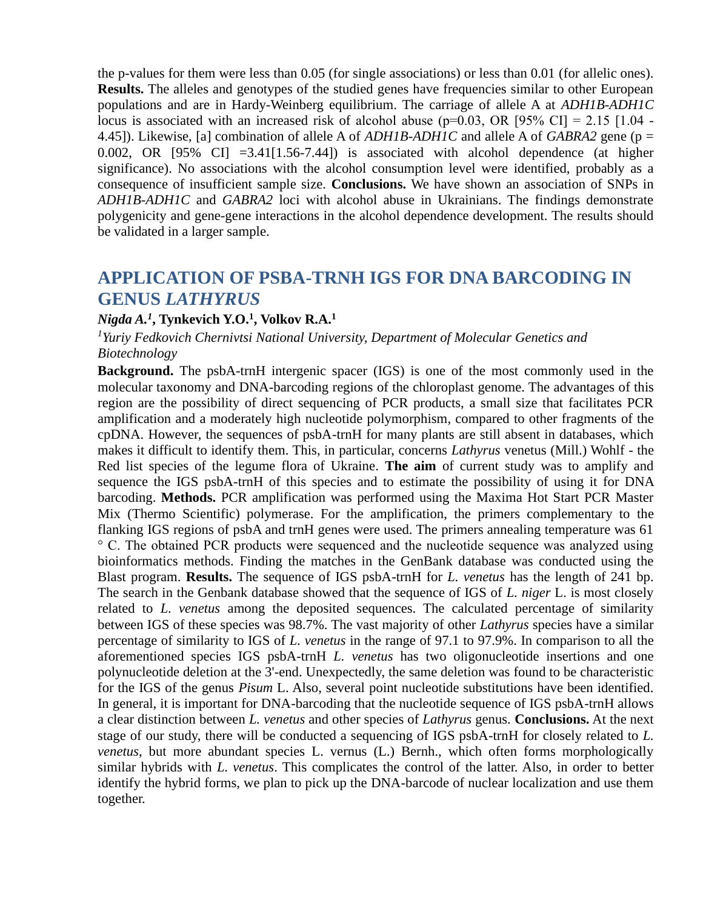the p-values for them were less than 0.05 (for single associations) or less than 0.01 (for allelic ones). **Results.** The alleles and genotypes of the studied genes have frequencies similar to other European populations and are in Hardy-Weinberg equilibrium. The carriage of allele A at *ADH1B-ADH1C* locus is associated with an increased risk of alcohol abuse ( $p=0.03$ , OR [95% CI] = 2.15 [1.04 -4.45]). Likewise, [a] combination of allele A of *ADH1B-ADH1C* and allele A of *GABRA2* gene (p = 0.002, OR [95% CI] =3.41[1.56-7.44]) is associated with alcohol dependence (at higher significance). No associations with the alcohol consumption level were identified, probably as a consequence of insufficient sample size. **Conclusions.** We have shown an association of SNPs in *ADH1B-ADH1C* and *GABRA2* loci with alcohol abuse in Ukrainians. The findings demonstrate polygenicity and gene-gene interactions in the alcohol dependence development. The results should be validated in a larger sample.

### **APPLICATION OF PSBA-TRNH IGS FOR DNA BARCODING IN GENUS** *LATHYRUS*

#### *Nigda A.<sup>1</sup>* **, Tynkevich Y.O.<sup>1</sup> , Volkov R.A.<sup>1</sup>**

### *<sup>1</sup>Yuriy Fedkovich Chernivtsi National University, Department of Molecular Genetics and Biotechnology*

**Background.** The psbA-trnH intergenic spacer (IGS) is one of the most commonly used in the molecular taxonomy and DNA-barcoding regions of the chloroplast genome. The advantages of this region are the possibility of direct sequencing of PCR products, a small size that facilitates PCR amplification and a moderately high nucleotide polymorphism, compared to other fragments of the cpDNA. However, the sequences of psbA-trnH for many plants are still absent in databases, which makes it difficult to identify them. This, in particular, concerns *Lathyrus* venetus (Mill.) Wohlf - the Red list species of the legume flora of Ukraine. **The aim** of current study was to amplify and sequence the IGS psbA-trnH of this species and to estimate the possibility of using it for DNA barcoding. **Methods.** PCR amplification was performed using the Maxima Hot Start PCR Master Mix (Thermo Scientific) polymerase. For the amplification, the primers complementary to the flanking IGS regions of psbA and trnH genes were used. The primers annealing temperature was 61 ° C. The obtained PCR products were sequenced and the nucleotide sequence was analyzed using bioinformatics methods. Finding the matches in the GenBank database was conducted using the Blast program. **Results.** The sequence of IGS psbA-trnH for *L. venetus* has the length of 241 bp. The search in the Genbank database showed that the sequence of IGS of *L. niger* L. is most closely related to *L. venetus* among the deposited sequences. The calculated percentage of similarity between IGS of these species was 98.7%. The vast majority of other *Lathyrus* species have a similar percentage of similarity to IGS of *L. venetus* in the range of 97.1 to 97.9%. In comparison to all the aforementioned species IGS psbA-trnH *L. venetus* has two oligonucleotide insertions and one polynucleotide deletion at the 3'-end. Unexpectedly, the same deletion was found to be characteristic for the IGS of the genus *Pisum* L. Also, several point nucleotide substitutions have been identified. In general, it is important for DNA-barcoding that the nucleotide sequence of IGS psbA-trnH allows a clear distinction between *L. venetus* and other species of *Lathyrus* genus. **Conclusions.** At the next stage of our study, there will be conducted a sequencing of IGS psbA-trnH for closely related to *L. venetus*, but more abundant species L. vernus (L.) Bernh., which often forms morphologically similar hybrids with *L. venetus*. This complicates the control of the latter. Also, in order to better identify the hybrid forms, we plan to pick up the DNA-barcode of nuclear localization and use them together.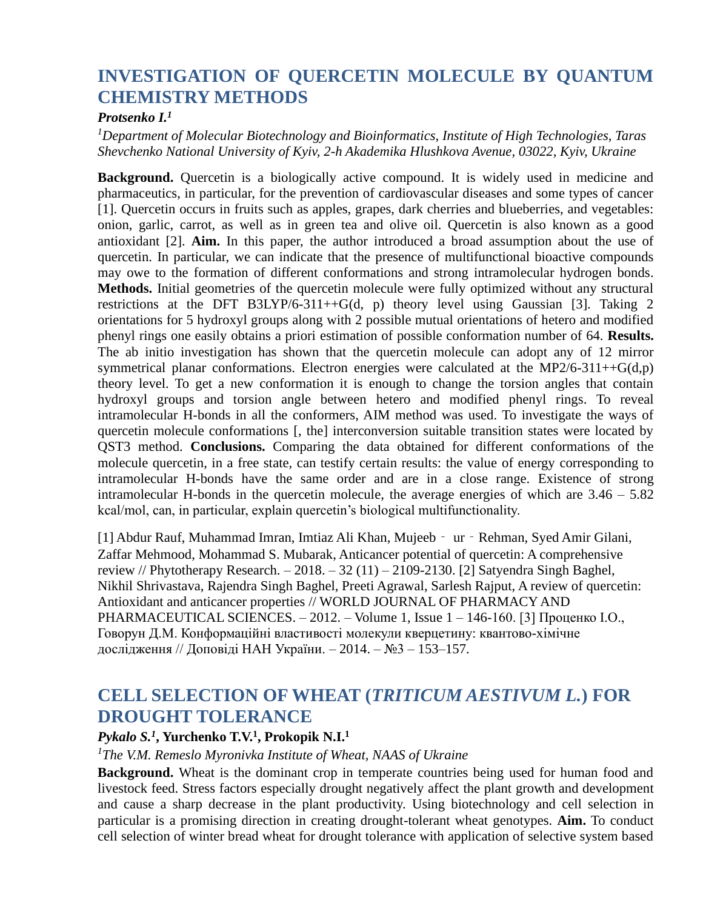## **INVESTIGATION OF QUERCETIN MOLECULE BY QUANTUM CHEMISTRY METHODS**

### *Protsenko I.<sup>1</sup>*

*<sup>1</sup>Department of Molecular Biotechnology and Bioinformatics, Institute of High Technologies, Taras Shevchenko National University of Kyiv, 2-h Akademika Hlushkova Avenue, 03022, Kyiv, Ukraine*

**Background.** Quercetin is a biologically active compound. It is widely used in medicine and pharmaceutics, in particular, for the prevention of cardiovascular diseases and some types of cancer [1]. Quercetin occurs in fruits such as apples, grapes, dark cherries and blueberries, and vegetables: onion, garlic, carrot, as well as in green tea and olive oil. Quercetin is also known as a good antioxidant [2]. **Aim.** In this paper, the author introduced a broad assumption about the use of quercetin. In particular, we can indicate that the presence of multifunctional bioactive compounds may owe to the formation of different conformations and strong intramolecular hydrogen bonds. **Methods.** Initial geometries of the quercetin molecule were fully optimized without any structural restrictions at the DFT B3LYP/6-311++G(d, p) theory level using Gaussian [3]. Taking 2 orientations for 5 hydroxyl groups along with 2 possible mutual orientations of hetero and modified phenyl rings one easily obtains a priori estimation of possible conformation number of 64. **Results.** The ab initio investigation has shown that the quercetin molecule can adopt any of 12 mirror symmetrical planar conformations. Electron energies were calculated at the MP2/6-311++G(d,p) theory level. To get a new conformation it is enough to change the torsion angles that contain hydroxyl groups and torsion angle between hetero and modified phenyl rings. To reveal intramolecular H-bonds in all the conformers, AIM method was used. To investigate the ways of quercetin molecule conformations [, the] interconversion suitable transition states were located by QST3 method. **Conclusions.** Comparing the data obtained for different conformations of the molecule quercetin, in a free state, can testify certain results: the value of energy corresponding to intramolecular H-bonds have the same order and are in a close range. Existence of strong intramolecular H-bonds in the quercetin molecule, the average energies of which are 3.46 – 5.82 kcal/mol, can, in particular, explain quercetin's biological multifunctionality.

[1] Abdur Rauf, Muhammad Imran, Imtiaz Ali Khan, Mujeeb‐ ur‐Rehman, Syed Amir Gilani, Zaffar Mehmood, Mohammad S. Mubarak, Anticancer potential of quercetin: A comprehensive review // Phytotherapy Research.  $-2018. -32(11) - 2109-2130$ . [2] Satyendra Singh Baghel, Nikhil Shrivastava, Rajendra Singh Baghel, Preeti Agrawal, Sarlesh Rajput, A review of quercetin: Antioxidant and anticancer properties // WORLD JOURNAL OF PHARMACY AND PHARMACEUTICAL SCIENCES. – 2012. – Volume 1, Issue 1 – 146-160. [3] Проценко І.О., Говорун Д.М. Конформаційні властивості молекули кверцетину: квантово-хімічне дослідження // Доповіді НАН України. – 2014. – №3 – 153–157.

### **CELL SELECTION OF WHEAT (***TRITICUM AESTIVUM L.***) FOR DROUGHT TOLERANCE**

#### *Pykalo S.<sup>1</sup>* **, Yurchenko T.V.<sup>1</sup> , Prokopik N.I.<sup>1</sup>**

*<sup>1</sup>The V.M. Remeslo Myronivka Institute of Wheat, NAAS of Ukraine*

**Background.** Wheat is the dominant crop in temperate countries being used for human food and livestock feed. Stress factors especially drought negatively affect the plant growth and development and cause a sharp decrease in the plant productivity. Using biotechnology and cell selection in particular is a promising direction in creating drought-tolerant wheat genotypes. **Aim.** To conduct cell selection of winter bread wheat for drought tolerance with application of selective system based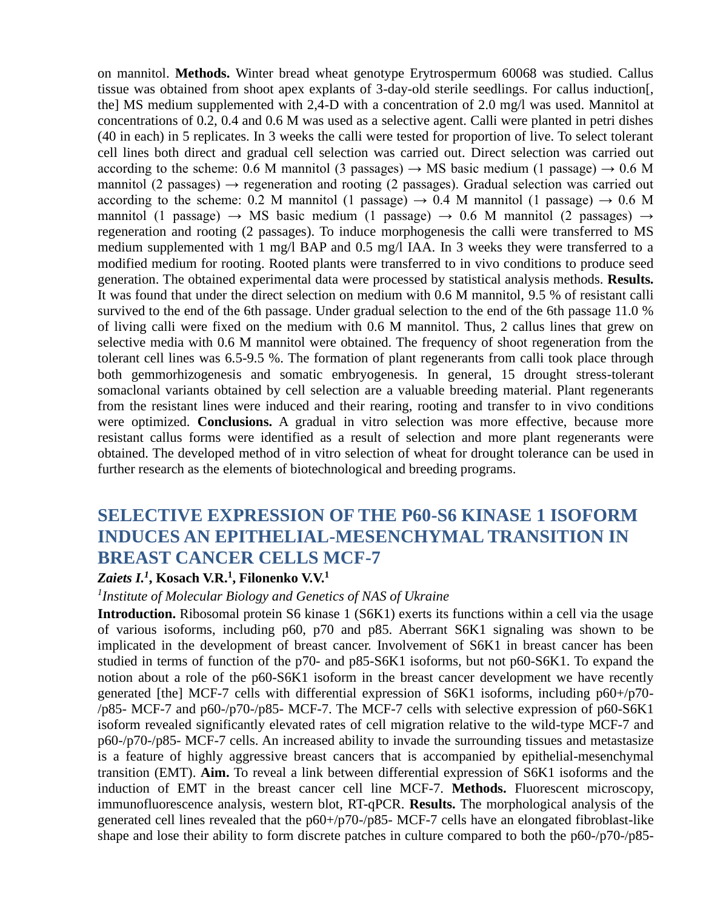on mannitol. **Methods.** Winter bread wheat genotype Erytrospermum 60068 was studied. Callus tissue was obtained from shoot apex explants of 3-day-old sterile seedlings. For callus induction[, the] MS medium supplemented with 2,4-D with a concentration of 2.0 mg/l was used. Mannitol at concentrations of 0.2, 0.4 and 0.6 M was used as a selective agent. Calli were planted in petri dishes (40 in each) in 5 replicates. In 3 weeks the calli were tested for proportion of live. To select tolerant cell lines both direct and gradual cell selection was carried out. Direct selection was carried out according to the scheme: 0.6 M mannitol (3 passages)  $\rightarrow$  MS basic medium (1 passage)  $\rightarrow$  0.6 M mannitol (2 passages)  $\rightarrow$  regeneration and rooting (2 passages). Gradual selection was carried out according to the scheme: 0.2 M mannitol (1 passage)  $\rightarrow$  0.4 M mannitol (1 passage)  $\rightarrow$  0.6 M mannitol (1 passage)  $\rightarrow$  MS basic medium (1 passage)  $\rightarrow$  0.6 M mannitol (2 passages)  $\rightarrow$ regeneration and rooting (2 passages). To induce morphogenesis the calli were transferred to MS medium supplemented with 1 mg/l BAP and 0.5 mg/l IAA. In 3 weeks they were transferred to a modified medium for rooting. Rooted plants were transferred to in vivo conditions to produce seed generation. The obtained experimental data were processed by statistical analysis methods. **Results.** It was found that under the direct selection on medium with 0.6 M mannitol, 9.5 % of resistant calli survived to the end of the 6th passage. Under gradual selection to the end of the 6th passage 11.0 % of living calli were fixed on the medium with 0.6 M mannitol. Thus, 2 callus lines that grew on selective media with 0.6 M mannitol were obtained. The frequency of shoot regeneration from the tolerant cell lines was 6.5-9.5 %. The formation of plant regenerants from calli took place through both gemmorhizogenesis and somatic embryogenesis. In general, 15 drought stress-tolerant somaclonal variants obtained by cell selection are a valuable breeding material. Plant regenerants from the resistant lines were induced and their rearing, rooting and transfer to in vivo conditions were optimized. **Conclusions.** A gradual in vitro selection was more effective, because more resistant callus forms were identified as a result of selection and more plant regenerants were obtained. The developed method of in vitro selection of wheat for drought tolerance can be used in further research as the elements of biotechnological and breeding programs.

# **SELECTIVE EXPRESSION OF THE P60-S6 KINASE 1 ISOFORM INDUCES AN EPITHELIAL-MESENCHYMAL TRANSITION IN BREAST CANCER CELLS MCF-7**

### *Zaiets I.<sup>1</sup>* **, Kosach V.R.<sup>1</sup> , Filonenko V.V.<sup>1</sup>**

#### *1 Institute of Molecular Biology and Genetics of NAS of Ukraine*

**Introduction.** Ribosomal protein S6 kinase 1 (S6K1) exerts its functions within a cell via the usage of various isoforms, including p60, p70 and p85. Aberrant S6K1 signaling was shown to be implicated in the development of breast cancer. Involvement of S6K1 in breast cancer has been studied in terms of function of the p70- and p85-S6K1 isoforms, but not p60-S6K1. To expand the notion about a role of the p60-S6K1 isoform in the breast cancer development we have recently generated [the] MCF-7 cells with differential expression of S6K1 isoforms, including p60+/p70- /p85- MCF-7 and p60-/p70-/p85- MCF-7. The MCF-7 cells with selective expression of p60-S6K1 isoform revealed significantly elevated rates of cell migration relative to the wild-type MCF-7 and p60-/p70-/p85- MCF-7 cells. An increased ability to invade the surrounding tissues and metastasize is a feature of highly aggressive breast cancers that is accompanied by epithelial-mesenchymal transition (EMT). **Aim.** To reveal a link between differential expression of S6K1 isoforms and the induction of EMT in the breast cancer cell line MCF-7. **Methods.** Fluorescent microscopy, immunofluorescence analysis, western blot, RT-qPCR. **Results.** The morphological analysis of the generated cell lines revealed that the p60+/p70-/p85- MCF-7 cells have an elongated fibroblast-like shape and lose their ability to form discrete patches in culture compared to both the p60-/p70-/p85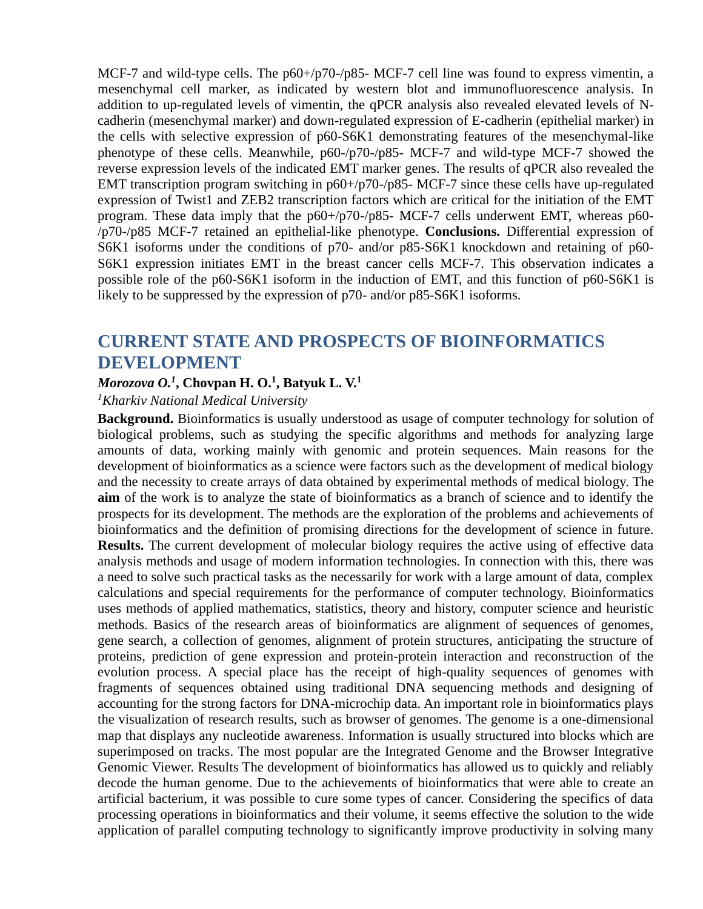MCF-7 and wild-type cells. The p60+/p70-/p85- MCF-7 cell line was found to express vimentin, a mesenchymal cell marker, as indicated by western blot and immunofluorescence analysis. In addition to up-regulated levels of vimentin, the qPCR analysis also revealed elevated levels of Ncadherin (mesenchymal marker) and down-regulated expression of E-cadherin (epithelial marker) in the cells with selective expression of p60-S6K1 demonstrating features of the mesenchymal-like phenotype of these cells. Meanwhile, p60-/p70-/p85- MCF-7 and wild-type MCF-7 showed the reverse expression levels of the indicated EMT marker genes. The results of qPCR also revealed the EMT transcription program switching in p60+/p70-/p85- MCF-7 since these cells have up-regulated expression of Twist1 and ZEB2 transcription factors which are critical for the initiation of the EMT program. These data imply that the p60+/p70-/p85- MCF-7 cells underwent EMT, whereas p60- /p70-/p85 MCF-7 retained an epithelial-like phenotype. **Conclusions.** Differential expression of S6K1 isoforms under the conditions of p70- and/or p85-S6K1 knockdown and retaining of p60- S6K1 expression initiates EMT in the breast cancer cells MCF-7. This observation indicates a possible role of the p60-S6K1 isoform in the induction of EMT, and this function of p60-S6K1 is likely to be suppressed by the expression of p70- and/or p85-S6K1 isoforms.

## **CURRENT STATE AND PROSPECTS OF BIOINFORMATICS DEVELOPMENT**

#### *Morozova O.<sup>1</sup>* **, Chovpan H. O.<sup>1</sup> , Batyuk L. V.<sup>1</sup>**

#### *<sup>1</sup>Kharkiv National Medical University*

**Background.** Bioinformatics is usually understood as usage of computer technology for solution of biological problems, such as studying the specific algorithms and methods for analyzing large amounts of data, working mainly with genomic and protein sequences. Main reasons for the development of bioinformatics as a science were factors such as the development of medical biology and the necessity to create arrays of data obtained by experimental methods of medical biology. The **aim** of the work is to analyze the state of bioinformatics as a branch of science and to identify the prospects for its development. The methods are the exploration of the problems and achievements of bioinformatics and the definition of promising directions for the development of science in future. **Results.** The current development of molecular biology requires the active using of effective data analysis methods and usage of modern information technologies. In connection with this, there was a need to solve such practical tasks as the necessarily for work with a large amount of data, complex calculations and special requirements for the performance of computer technology. Bioinformatics uses methods of applied mathematics, statistics, theory and history, computer science and heuristic methods. Basics of the research areas of bioinformatics are alignment of sequences of genomes, gene search, a collection of genomes, alignment of protein structures, anticipating the structure of proteins, prediction of gene expression and protein-protein interaction and reconstruction of the evolution process. A special place has the receipt of high-quality sequences of genomes with fragments of sequences obtained using traditional DNA sequencing methods and designing of accounting for the strong factors for DNA-microchip data. An important role in bioinformatics plays the visualization of research results, such as browser of genomes. The genome is a one-dimensional map that displays any nucleotide awareness. Information is usually structured into blocks which are superimposed on tracks. The most popular are the Integrated Genome and the Browser Integrative Genomic Viewer. Results The development of bioinformatics has allowed us to quickly and reliably decode the human genome. Due to the achievements of bioinformatics that were able to create an artificial bacterium, it was possible to cure some types of cancer. Considering the specifics of data processing operations in bioinformatics and their volume, it seems effective the solution to the wide application of parallel computing technology to significantly improve productivity in solving many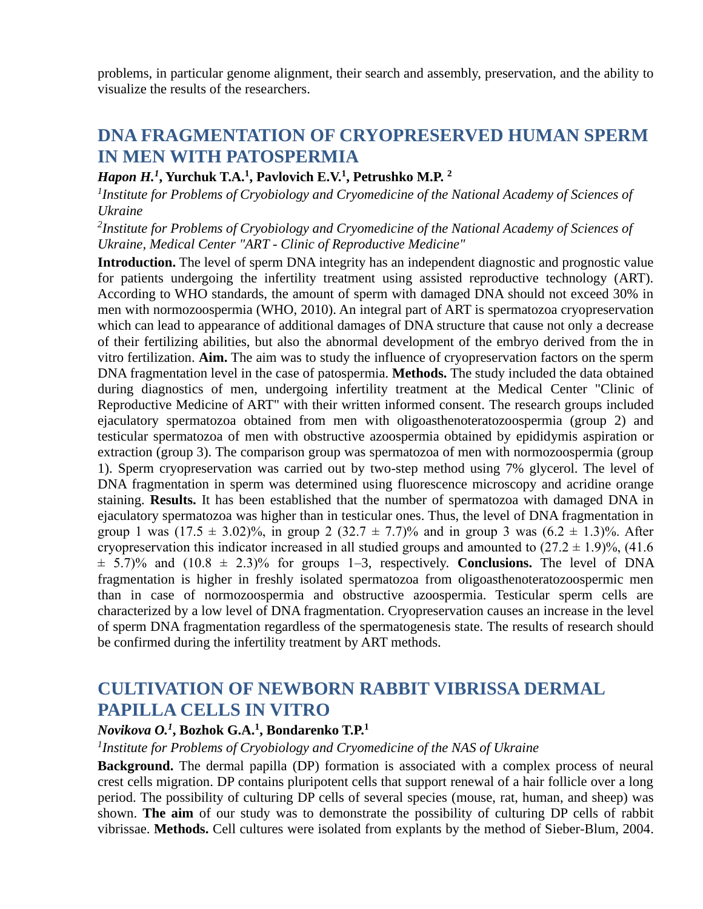problems, in particular genome alignment, their search and assembly, preservation, and the ability to visualize the results of the researchers.

## **DNA FRAGMENTATION OF CRYOPRESERVED HUMAN SPERM IN MEN WITH PATOSPERMIA**

#### *Hapon H.<sup>1</sup>* **, Yurchuk T.A.<sup>1</sup> , Pavlovich E.V.<sup>1</sup> , Petrushko M.P. <sup>2</sup>**

<sup>1</sup> Institute for Problems of Cryobiology and Cryomedicine of the National Academy of Sciences of *Ukraine* 

*2 Institute for Problems of Cryobiology and Cryomedicine of the National Academy of Sciences of Ukraine, Medical Center "ART - Clinic of Reproductive Medicine"*

Introduction. The level of sperm DNA integrity has an independent diagnostic and prognostic value for patients undergoing the infertility treatment using assisted reproductive technology (ART). According to WHO standards, the amount of sperm with damaged DNA should not exceed 30% in men with normozoospermia (WHO, 2010). An integral part of ART is spermatozoa cryopreservation which can lead to appearance of additional damages of DNA structure that cause not only a decrease of their fertilizing abilities, but also the abnormal development of the embryo derived from the in vitro fertilization. **Aim.** The aim was to study the influence of cryopreservation factors on the sperm DNA fragmentation level in the case of patospermia. **Methods.** The study included the data obtained during diagnostics of men, undergoing infertility treatment at the Medical Center "Clinic of Reproductive Medicine of ART" with their written informed consent. The research groups included ejaculatory spermatozoa obtained from men with oligoasthenoteratozoospermia (group 2) and testicular spermatozoa of men with obstructive azoospermia obtained by epididymis aspiration or extraction (group 3). The comparison group was spermatozoa of men with normozoospermia (group 1). Sperm cryopreservation was carried out by two-step method using 7% glycerol. The level of DNA fragmentation in sperm was determined using fluorescence microscopy and acridine orange staining. **Results.** It has been established that the number of spermatozoa with damaged DNA in ejaculatory spermatozoa was higher than in testicular ones. Thus, the level of DNA fragmentation in group 1 was  $(17.5 \pm 3.02)\%$ , in group 2  $(32.7 \pm 7.7)\%$  and in group 3 was  $(6.2 \pm 1.3)\%$ . After cryopreservation this indicator increased in all studied groups and amounted to  $(27.2 \pm 1.9)\%$ ,  $(41.6 \pm 1.6)\%$  $\pm$  5.7)% and (10.8  $\pm$  2.3)% for groups 1–3, respectively. **Conclusions.** The level of DNA fragmentation is higher in freshly isolated spermatozoa from oligoasthenoteratozoospermic men than in case of normozoospermia and obstructive azoospermia. Testicular sperm cells are characterized by a low level of DNA fragmentation. Cryopreservation causes an increase in the level of sperm DNA fragmentation regardless of the spermatogenesis state. The results of research should be confirmed during the infertility treatment by ART methods.

### **CULTIVATION OF NEWBORN RABBIT VIBRISSA DERMAL PAPILLA CELLS IN VITRO**

#### *Novikova O.<sup>1</sup>* **, Bozhok G.A.<sup>1</sup> , Bondarenko T.P.<sup>1</sup>**

#### *1 Institute for Problems of Cryobiology and Cryomedicine of the NAS of Ukraine*

**Background.** The dermal papilla (DP) formation is associated with a complex process of neural crest cells migration. DP contains pluripotent cells that support renewal of a hair follicle over a long period. The possibility of culturing DP cells of several species (mouse, rat, human, and sheep) was shown. **The aim** of our study was to demonstrate the possibility of culturing DP cells of rabbit vibrissae. **Methods.** Cell cultures were isolated from explants by the method of Sieber-Blum, 2004.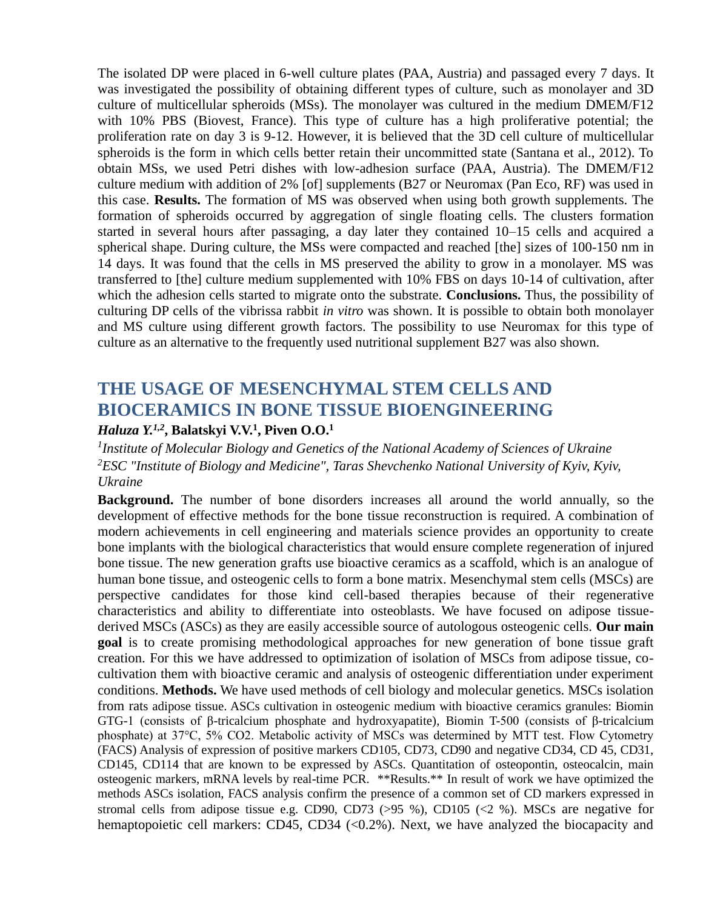The isolated DP were placed in 6-well culture plates (PAA, Austria) and passaged every 7 days. It was investigated the possibility of obtaining different types of culture, such as monolayer and 3D culture of multicellular spheroids (MSs). The monolayer was cultured in the medium DMEM/F12 with 10% PBS (Biovest, France). This type of culture has a high proliferative potential; the proliferation rate on day 3 is 9-12. However, it is believed that the 3D cell culture of multicellular spheroids is the form in which cells better retain their uncommitted state (Santana et al., 2012). To obtain MSs, we used Petri dishes with low-adhesion surface (PAA, Austria). The DMEM/F12 culture medium with addition of 2% [of] supplements (B27 or Neuromax (Pan Eco, RF) was used in this case. **Results.** The formation of MS was observed when using both growth supplements. The formation of spheroids occurred by aggregation of single floating cells. The clusters formation started in several hours after passaging, a day later they contained 10–15 cells and acquired a spherical shape. During culture, the MSs were compacted and reached [the] sizes of 100-150 nm in 14 days. It was found that the cells in MS preserved the ability to grow in a monolayer. MS was transferred to [the] culture medium supplemented with 10% FBS on days 10-14 of cultivation, after which the adhesion cells started to migrate onto the substrate. **Conclusions.** Thus, the possibility of culturing DP cells of the vibrissa rabbit *in vitro* was shown. It is possible to obtain both monolayer and MS culture using different growth factors. The possibility to use Neuromax for this type of culture as an alternative to the frequently used nutritional supplement B27 was also shown.

# **THE USAGE OF MESENCHYMAL STEM CELLS AND BIOCERAMICS IN BONE TISSUE BIOENGINEERING**

#### *Haluza Y.1,2***, Balatskyi V.V.<sup>1</sup> , Piven O.O.<sup>1</sup>**

*1 Institute of Molecular Biology and Genetics of the National Academy of Sciences of Ukraine <sup>2</sup>ESC "Institute of Biology and Medicine", Taras Shevchenko National University of Kyiv, Kyiv, Ukraine*

**Background.** The number of bone disorders increases all around the world annually, so the development of effective methods for the bone tissue reconstruction is required. A combination of modern achievements in cell engineering and materials science provides an opportunity to create bone implants with the biological characteristics that would ensure complete regeneration of injured bone tissue. The new generation grafts use bioactive ceramics as a scaffold, which is an analogue of human bone tissue, and osteogenic cells to form a bone matrix. Mesenchymal stem cells (MSCs) are perspective candidates for those kind cell-based therapies because of their regenerative characteristics and ability to differentiate into osteoblasts. We have focused on adipose tissuederived MSCs (ASCs) as they are easily accessible source of autologous osteogenic cells. **Our main goal** is to create promising methodological approaches for new generation of bone tissue graft creation. For this we have addressed to optimization of isolation of MSCs from adipose tissue, cocultivation them with bioactive ceramic and analysis of osteogenic differentiation under experiment conditions. **Methods.** We have used methods of cell biology and molecular genetics. MSCs isolation from rats adipose tissue. ASCs cultivation in osteogenic medium with bioactive ceramics granules: Biomin GTG-1 (consists of β-tricalcium phosphate and hydroxyapatite), Biomin T-500 (consists of β-tricalcium phosphate) at 37°C, 5% CO2. Metabolic activity of MSCs was determined by MTT test. Flow Cytometry (FACS) Analysis of expression of positive markers CD105, CD73, CD90 and negative CD34, CD 45, CD31, CD145, CD114 that are known to be expressed by ASCs. Quantitation of osteopontin, osteocalcin, main osteogenic markers, mRNA levels by real-time PCR. \*\*Results.\*\* In result of work we have optimized the methods ASCs isolation, FACS analysis confirm the presence of a common set of CD markers expressed in stromal cells from adipose tissue e.g. CD90, CD73 ( $>95\%$ ), CD105 ( $< 2\%$ ). MSCs are negative for hemaptopoietic cell markers: CD45, CD34 (<0.2%). Next, we have analyzed the biocapacity and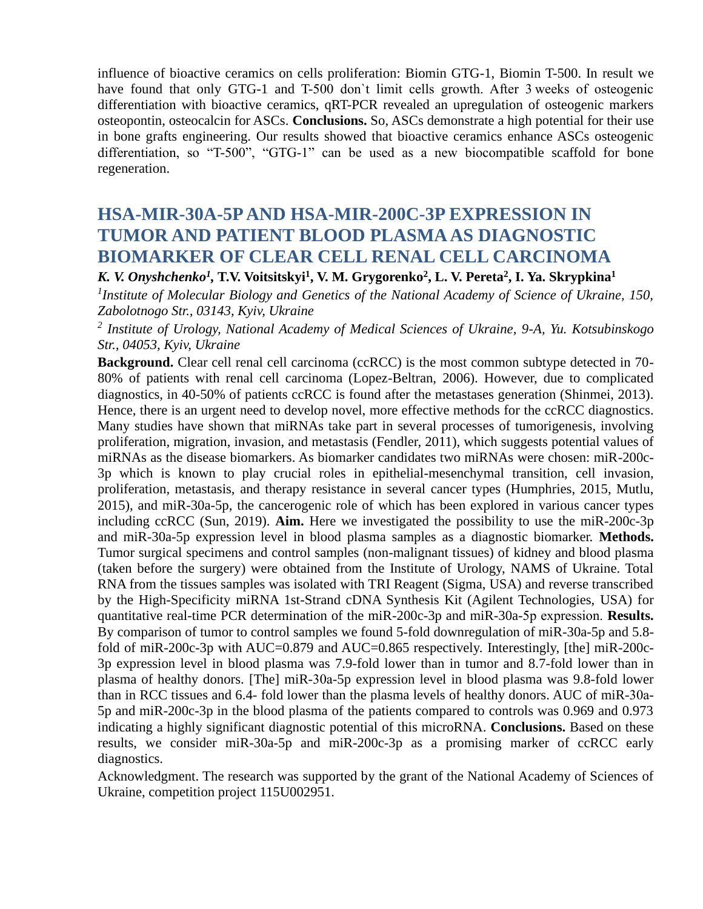influence of bioactive ceramics on cells proliferation: Biomin GTG-1, Biomin T-500. In result we have found that only GTG-1 and T-500 don't limit cells growth. After 3 weeks of osteogenic differentiation with bioactive ceramics, qRT-PCR revealed an upregulation of osteogenic markers osteopontin, osteocalcin for ASCs. **Conclusions.** So, ASCs demonstrate a high potential for their use in bone grafts engineering. Our results showed that bioactive ceramics enhance ASCs osteogenic differentiation, so "T-500", "GTG-1" can be used as a new biocompatible scaffold for bone regeneration.

# **HSA-MIR-30A-5P AND HSA-MIR-200C-3P EXPRESSION IN TUMOR AND PATIENT BLOOD PLASMA AS DIAGNOSTIC BIOMARKER OF CLEAR CELL RENAL CELL CARCINOMA**

#### *K. V. Onyshchenko<sup>1</sup> ,* **T.V. Voitsitskyi<sup>1</sup> , V. M. Grygorenko<sup>2</sup> , L. V. Pereta<sup>2</sup> , I. Ya. Skrypkina<sup>1</sup>**

*1 Institute of Molecular Biology and Genetics of the National Academy of Science of Ukraine, 150, Zabolotnogo Str., 03143, Kyiv, Ukraine*

*2 Institute of Urology, National Academy of Medical Sciences of Ukraine, 9-A, Yu. Kotsubinskogo Str., 04053, Kyiv, Ukraine*

**Background.** Clear cell renal cell carcinoma (ccRCC) is the most common subtype detected in 70- 80% of patients with renal cell carcinoma (Lopez-Beltran, 2006). However, due to complicated diagnostics, in 40-50% of patients ccRCC is found after the metastases generation (Shinmei, 2013). Hence, there is an urgent need to develop novel, more effective methods for the ccRCC diagnostics. Many studies have shown that miRNAs take part in several processes of tumorigenesis, involving proliferation, migration, invasion, and metastasis (Fendler, 2011), which suggests potential values of miRNAs as the disease biomarkers. As biomarker candidates two miRNAs were chosen: miR-200c-3p which is known to play crucial roles in epithelial-mesenchymal transition, cell invasion, proliferation, metastasis, and therapy resistance in several cancer types (Humphries, 2015, Mutlu, 2015), and miR-30a-5p, the cancerogenic role of which has been explored in various cancer types including ccRCC (Sun, 2019). **Aim.** Here we investigated the possibility to use the miR-200c-3p and miR-30a-5p expression level in blood plasma samples as a diagnostic biomarker. **Methods.** Tumor surgical specimens and control samples (non-malignant tissues) of kidney and blood plasma (taken before the surgery) were obtained from the Institute of Urology, NAMS of Ukraine. Total RNA from the tissues samples was isolated with TRI Reagent (Sigma, USA) and reverse transcribed by the High-Specificity miRNA 1st-Strand cDNA Synthesis Kit (Agilent Technologies, USA) for quantitative real-time PCR determination of the miR-200c-3p and miR-30a-5р expression. **Results.** By comparison of tumor to control samples we found 5-fold downregulation of miR-30a-5p and 5.8 fold of miR-200c-3p with AUC=0.879 and AUC=0.865 respectively. Interestingly, [the] miR-200c-3p expression level in blood plasma was 7.9-fold lower than in tumor and 8.7-fold lower than in plasma of healthy donors. [The] miR-30а-5p expression level in blood plasma was 9.8-fold lower than in RCC tissues and 6.4- fold lower than the plasma levels of healthy donors. AUC of miR-30а-5p and miR-200c-3p in the blood plasma of the patients compared to controls was 0.969 and 0.973 indicating a highly significant diagnostic potential of this microRNA. **Conclusions.** Based on these results, we consider miR-30a-5p and miR-200c-3p as a promising marker of ccRCC early diagnostics.

Acknowledgment. The research was supported by the grant of the National Academy of Sciences of Ukraine, competition project 115U002951.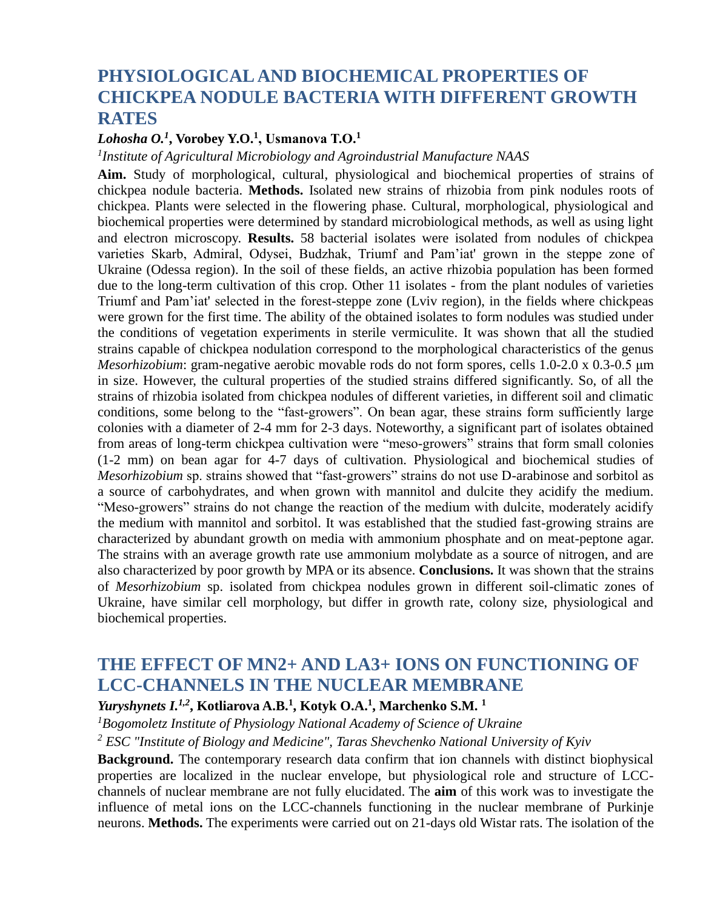### **PHYSIOLOGICAL AND BIOCHEMICAL PROPERTIES OF CHICKPEA NODULE BACTERIA WITH DIFFERENT GROWTH RATES**

#### *Lohosha O.<sup>1</sup>* **, Vorobey Y.O.<sup>1</sup> , Usmanovа T.O.<sup>1</sup>**

*1 Institute of Agricultural Microbiology and Agroindustrial Manufacture NAAS*

**Aim.** Study of morphological, cultural, physiological and biochemical properties of strains of chickpea nodule bacteria. **Methods.** Isolated new strains of rhizobia from pink nodules roots of chickpea. Plants were selected in the flowering phase. Cultural, morphological, physiological and biochemical properties were determined by standard microbiological methods, as well as using light and electron microscopy. **Results.** 58 bacterial isolates were isolated from nodules of chickpea varieties Skarb, Admiral, Odyseі, Budzhak, Triumf and Pam'iat' grown in the steppe zone of Ukraine (Odessa region). In the soil of these fields, an active rhizobia population has been formed due to the long-term cultivation of this crop. Other 11 isolates - from the plant nodules of varieties Triumf and Pam'iat' selected in the forest-steppe zone (Lviv region), in the fields where chickpeas were grown for the first time. The ability of the obtained isolates to form nodules was studied under the conditions of vegetation experiments in sterile vermiculite. It was shown that all the studied strains capable of chickpea nodulation correspond to the morphological characteristics of the genus *Mesorhizobium*: gram-negative aerobic movable rods do not form spores, cells 1.0-2.0 x 0.3-0.5 μm in size. However, the cultural properties of the studied strains differed significantly. So, of all the strains of rhizobia isolated from chickpea nodules of different varieties, in different soil and climatic conditions, some belong to the "fast-growers". On bean agar, these strains form sufficiently large colonies with a diameter of 2-4 mm for 2-3 days. Noteworthy, a significant part of isolates obtained from areas of long-term chickpea cultivation were "meso-growers" strains that form small colonies (1-2 mm) on bean agar for 4-7 days of cultivation. Physiological and biochemical studies of *Mesorhizobium* sp. strains showed that "fast-growers" strains do not use D-arabinose and sorbitol as a source of carbohydrates, and when grown with mannitol and dulcite they acidify the medium. "Meso-growers" strains do not change the reaction of the medium with dulcite, moderately acidify the medium with mannitol and sorbitol. It was established that the studied fast-growing strains are characterized by abundant growth on media with ammonium phosphate and on meat-peptone agar. The strains with an average growth rate use ammonium molybdate as a source of nitrogen, and are also characterized by poor growth by MPA or its absence. **Conclusions.** It was shown that the strains of *Mesorhizobium* sp. isolated from chickpea nodules grown in different soil-climatic zones of Ukraine, have similar cell morphology, but differ in growth rate, colony size, physiological and biochemical properties.

# **THE EFFECT OF MN2+ AND LA3+ IONS ON FUNCTIONING OF LCC-CHANNELS IN THE NUCLEAR MEMBRANE**

#### *Yuryshynets I.1,2***, Kotliarova A.B.<sup>1</sup> , Kotyk O.A.<sup>1</sup> , Marchenko S.M. <sup>1</sup>**

*<sup>1</sup>Bogomoletz Institute of Physiology National Academy of Science of Ukraine <sup>2</sup> ESC "Institute of Biology and Medicine", Taras Shevchenko National University of Kyiv*

**Background.** The contemporary research data confirm that ion channels with distinct biophysical properties are localized in the nuclear envelope, but physiological role and structure of LCCchannels of nuclear membrane are not fully elucidated. The **aim** of this work was to investigate the influence of metal ions on the LCC-channels functioning in the nuclear membrane of Purkinje neurons. **Methods.** The experiments were carried out on 21-days old Wistar rats. The isolation of the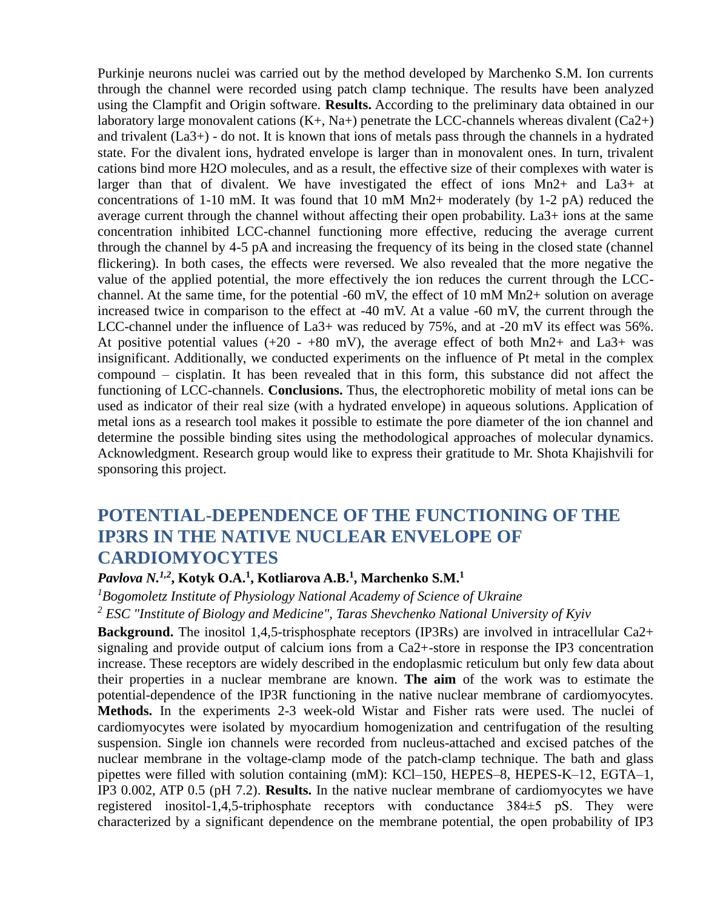Purkinje neurons nuclei was carried out by the method developed by Marchenko S.M. Ion currents through the channel were recorded using patch clamp technique. The results have been analyzed using the Clampfit and Origin software. **Results.** According to the preliminary data obtained in our laboratory large monovalent cations  $(K+, Na+)$  penetrate the LCC-channels whereas divalent  $(Ca2+)$ and trivalent (La3+) - do not. It is known that ions of metals pass through the channels in a hydrated state. For the divalent ions, hydrated envelope is larger than in monovalent ones. In turn, trivalent cations bind more H2O molecules, and as a result, the effective size of their complexes with water is larger than that of divalent. We have investigated the effect of ions Mn2+ and La3+ at concentrations of 1-10 mM. It was found that 10 mM Mn2+ moderately (by 1-2 pA) reduced the average current through the channel without affecting their open probability. La3+ ions at the same concentration inhibited LCC-channel functioning more effective, reducing the average current through the channel by 4-5 pA and increasing the frequency of its being in the closed state (channel flickering). In both cases, the effects were reversed. We also revealed that the more negative the value of the applied potential, the more effectively the ion reduces the current through the LCCchannel. At the same time, for the potential  $-60$  mV, the effect of 10 mM Mn2+ solution on average increased twice in comparison to the effect at -40 mV. At a value -60 mV, the current through the LCC-channel under the influence of La3+ was reduced by 75%, and at -20 mV its effect was 56%. At positive potential values  $(+20 - +80 \text{ mV})$ , the average effect of both Mn2+ and La3+ was insignificant. Additionally, we conducted experiments on the influence of Pt metal in the complex compound – cisplatin. It has been revealed that in this form, this substance did not affect the functioning of LCC-channels. **Conclusions.** Thus, the electrophoretic mobility of metal ions can be used as indicator of their real size (with a hydrated envelope) in aqueous solutions. Application of metal ions as a research tool makes it possible to estimate the pore diameter of the ion channel and determine the possible binding sites using the methodological approaches of molecular dynamics. Acknowledgment. Research group would like to express their gratitude to Mr. Shota Khajishvili for sponsoring this project.

### **POTENTIAL-DEPENDENCE OF THE FUNCTIONING OF THE IP3RS IN THE NATIVE NUCLEAR ENVELOPE OF CARDIOMYOCYTES**

#### *Pavlova N.1,2***, Kotyk O.A.<sup>1</sup> , Kotliarova A.B.<sup>1</sup> , Marchenko S.M.<sup>1</sup>**

*<sup>1</sup>Bogomoletz Institute of Physiology National Academy of Science of Ukraine*

*<sup>2</sup> ESC "Institute of Biology and Medicine", Taras Shevchenko National University of Kyiv*

**Background.** The inositol 1,4,5-trisphosphate receptors (IP3Rs) are involved in intracellular Ca2+ signaling and provide output of calcium ions from a Ca2+-store in response the IP3 concentration increase. These receptors are widely described in the endoplasmic reticulum but only few data about their properties in a nuclear membrane are known. **The aim** of the work was to estimate the potential-dependence of the IP3R functioning in the native nuclear membrane of cardiomyocytes. **Methods.** In the experiments 2-3 week-old Wistar and Fisher rats were used. The nuclei of cardiomyocytes were isolated by myocardium homogenization and centrifugation of the resulting suspension. Single ion channels were recorded from nucleus-attached and excised patches of the nuclear membrane in the voltage-clamp mode of the patch-clamp technique. The bath and glass pipettes were filled with solution containing (mM): KCl–150, HEPES–8, HEPES-K–12, ЕGТА–1, IP3 0.002, ATP 0.5 (pH 7.2). **Results.** In the native nuclear membrane of cardiomyocytes we have registered inositol-1,4,5-triphosphate receptors with conductance 384±5 pS. They were characterized by a significant dependence on the membrane potential, the open probability of IP3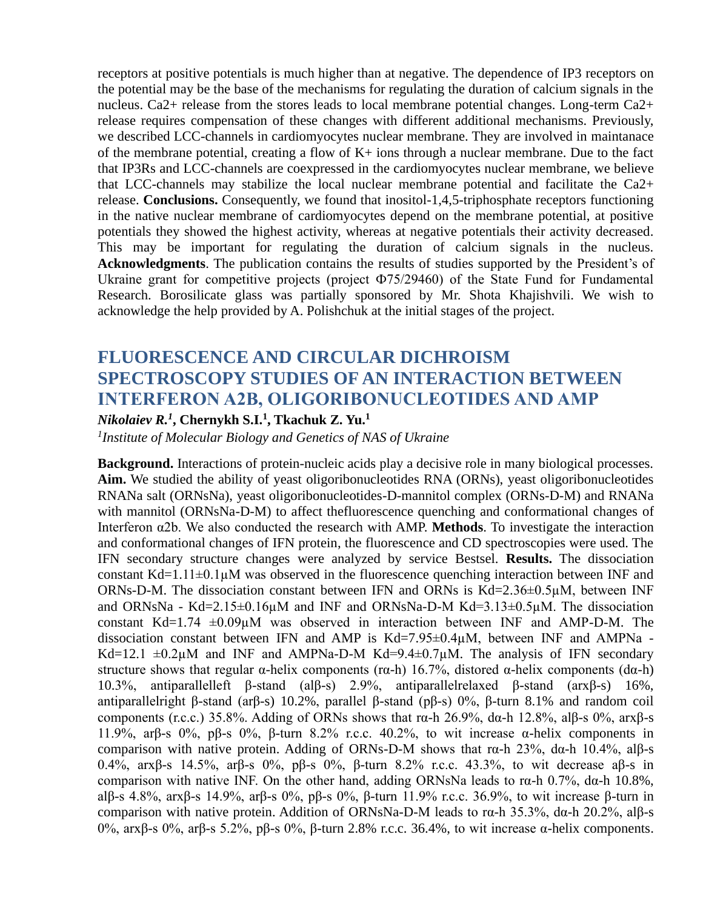receptors at positive potentials is much higher than at negative. The dependence of IP3 receptors on the potential may be the base of the mechanisms for regulating the duration of calcium signals in the nucleus. Ca2+ release from the stores leads to local membrane potential changes. Long-term Ca2+ release requires compensation of these changes with different additional mechanisms. Previously, we described LCC-channels in cardiomyocytes nuclear membrane. They are involved in maintanace of the membrane potential, creating a flow of K+ ions through a nuclear membrane. Due to the fact that IP3Rs and LCC-channels are coexpressed in the cardiomyocytes nuclear membrane, we believe that LCC-channels may stabilize the local nuclear membrane potential and facilitate the Ca2+ release. **Conclusions.** Consequently, we found that inositol-1,4,5-triphosphate receptors functioning in the native nuclear membrane of cardiomyocytes depend on the membrane potential, at positive potentials they showed the highest activity, whereas at negative potentials their activity decreased. This may be important for regulating the duration of calcium signals in the nucleus. **Acknowledgments**. The publication contains the results of studies supported by the President's of Ukraine grant for competitive projects (project  $\Phi$ 75/29460) of the State Fund for Fundamental Research. Borosilicate glass was partially sponsored by Mr. Shota Khajishvili. We wish to acknowledge the help provided by A. Polishchuk at the initial stages of the project.

# **FLUORESCENCE AND CIRCULAR DICHROISM SPECTROSCOPY STUDIES OF AN INTERACTION BETWEEN INTERFERON Α2Β, OLIGORIBONUCLEOTIDES AND AMP**

### *Nikolaiev R.<sup>1</sup>* **, Chernykh S.I.<sup>1</sup> , Tkachuk Z. Yu.<sup>1</sup>**

*1 Institute of Molecular Biology and Genetics of NAS of Ukraine*

**Background.** Interactions of protein-nucleic acids play a decisive role in many biological processes. **Aim.** We studied the ability of yeast oligoribonucleotides RNA (ORNs), yeast oligoribonucleotides RNANa salt (ORNsNa), yeast oligoribonucleotides-D-mannitol complex (ORNs-D-M) and RNANa with mannitol (ORNsNa-D-M) to affect thefluorescence quenching and conformational changes of Interferon α2b. We also conducted the research with AMP. **Methods**. To investigate the interaction and conformational changes of IFN protein, the fluorescence and CD spectroscopies were used. The IFN secondary structure changes were analyzed by service Bestsel. **Results.** The dissociation constant Kd=1.11±0.1µM was observed in the fluorescence quenching interaction between INF and ORNs-D-M. The dissociation constant between IFN and ORNs is Kd=2.36±0.5µM, between INF and ORNsNa - Kd=2.15 $\pm$ 0.16 $\mu$ M and INF and ORNsNa-D-M Kd=3.13 $\pm$ 0.5 $\mu$ M. The dissociation constant Kd=1.74  $\pm 0.09 \mu$ M was observed in interaction between INF and AMP-D-M. The dissociation constant between IFN and AMP is  $Kd=7.95\pm0.4\mu M$ , between INF and AMPNa -Kd=12.1  $\pm 0.2 \mu$ M and INF and AMPNa-D-M Kd=9.4 $\pm 0.7 \mu$ M. The analysis of IFN secondary structure shows that regular  $\alpha$ -helix components (r $\alpha$ -h) 16.7%, distored  $\alpha$ -helix components (d $\alpha$ -h) 10.3%, antiparallelleft β-stand (alβ-s) 2.9%, antiparallelrelaxed β-stand (arxβ-s) 16%, antiparallelright β-stand (arβ-s) 10.2%, parallel β-stand (pβ-s) 0%, β-turn 8.1% and random coil components (r.c.c.) 35.8%. Adding of ORNs shows that rα-h 26.9%, dα-h 12.8%, alβ-s 0%, arxβ-s 11.9%, arβ-s 0%, pβ-s 0%, β-turn 8.2% r.c.c. 40.2%, to wit increase α-helix components in comparison with native protein. Adding of ORNs-D-M shows that rα-h 23%, dα-h 10.4%, al $\beta$ -s 0.4%, arxβ-s 14.5%, arβ-s 0%, pβ-s 0%, β-turn 8.2% r.c.c. 43.3%, to wit decrease aβ-s in comparison with native INF. On the other hand, adding ORNsNa leads to rα-h 0.7%, dα-h 10.8%, alβ-s 4.8%, arxβ-s 14.9%, arβ-s 0%, pβ-s 0%, β-turn 11.9% r.c.c. 36.9%, to wit increase β-turn in comparison with native protein. Addition of ORNsNa-D-M leads to rα-h 35.3%, dα-h 20.2%, alβ-s 0%, arxβ-s 0%, arβ-s 5.2%, pβ-s 0%, β-turn 2.8% r.c.c. 36.4%, to wit increase α-helix components.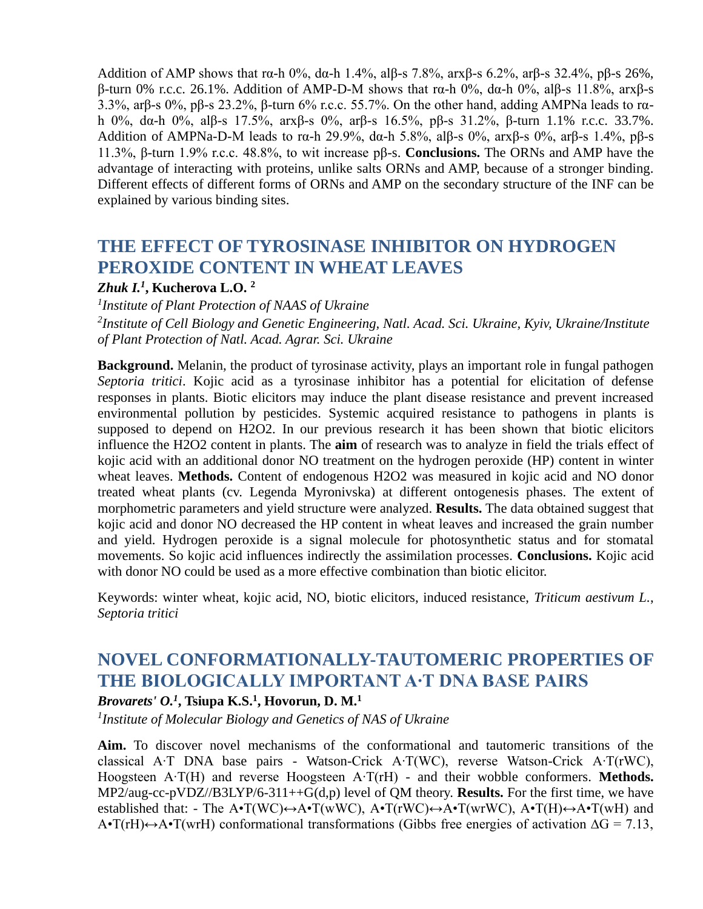Addition of AMP shows that rα-h 0%, dα-h 1.4%, alβ-s 7.8%, arxβ-s 6.2%, arβ-s 32.4%, pβ-s 26%, β-turn 0% r.c.c. 26.1%. Addition of AMP-D-M shows that rα-h 0%, dα-h 0%, alβ-s 11.8%, arxβ-s 3.3%, arβ-s 0%, pβ-s 23.2%, β-turn 6% r.c.c. 55.7%. On the other hand, adding AMPNa leads to rαh 0%, dα-h 0%, alβ-s 17.5%, arxβ-s 0%, arβ-s 16.5%, pβ-s 31.2%, β-turn 1.1% r.c.c. 33.7%. Addition of AMPNa-D-M leads to rα-h 29.9%, dα-h 5.8%, alβ-s 0%, arxβ-s 0%, ar $\beta$ -s 1.4%, p $\beta$ -s 11.3%, β-turn 1.9% r.c.c. 48.8%, to wit increase pβ-s. **Conclusions.** The ORNs and AMP have the advantage of interacting with proteins, unlike salts ORNs and AMP, because of a stronger binding. Different effects of different forms of ORNs and AMP on the secondary structure of the INF can be explained by various binding sites.

### **THE EFFECT OF TYROSINASE INHIBITOR ON HYDROGEN PEROXIDE CONTENT IN WHEAT LEAVES**

#### *Zhuk I.<sup>1</sup>* **, Kucherova L.O. <sup>2</sup>**

*1 Institute of Plant Protection of NAAS of Ukraine 2 Institute of Cell Biology and Genetic Engineering, Natl. Acad. Sci. Ukraine, Kyiv, Ukraine/Institute of Plant Protection of Natl. Acad. Agrar. Sci. Ukraine*

**Background.** Melanin, the product of tyrosinase activity, plays an important role in fungal pathogen *Septoria tritici*. Kojic acid as a tyrosinase inhibitor has a potential for elicitation of defense responses in plants. Biotic elicitors may induce the plant disease resistance and prevent increased environmental pollution by pesticides. Systemic acquired resistance to pathogens in plants is supposed to depend on H2O2. In our previous research it has been shown that biotic elicitors influence the H2O2 content in plants. The **aim** of research was to analyze in field the trials effect of kojic acid with an additional donor NO treatment on the hydrogen peroxide (HP) content in winter wheat leaves. **Methods.** Content of endogenous H2O2 was measured in kojic acid and NO donor treated wheat plants (cv. Legenda Myronivska) at different ontogenesis phases. The extent of morphometric parameters and yield structure were analyzed. **Results.** The data obtained suggest that kojic acid and donor NO decreased the HP content in wheat leaves and increased the grain number and yield. Hydrogen peroxide is a signal molecule for photosynthetic status and for stomatal movements. So kojic acid influences indirectly the assimilation processes. **Conclusions.** Kojic acid with donor NO could be used as a more effective combination than biotic elicitor.

Keywords: winter wheat, kojic acid, NO, biotic elicitors, induced resistance, *Triticum aestivum L.*, *Septoria tritici*

### **NOVEL CONFORMATIONALLY-TAUTOMERIC PROPERTIES OF THE BIOLOGICALLY IMPORTANT A∙T DNA BASE PAIRS**

### *Brovarets' O.<sup>1</sup>* **, Tsiupa K.S.<sup>1</sup> , Hovorun, D. M.<sup>1</sup>**

*1 Institute of Molecular Biology and Genetics of NAS of Ukraine*

**Aim.** To discover novel mechanisms of the conformational and tautomeric transitions of the classical A∙T DNA base pairs - Watson-Crick А∙Т(WC), reverse Watson-Crick А∙Т(rWC), Hoogsteen А∙Т(Н) and reverse Hoogsteen А∙Т(rН) - and their wobble conformers. **Methods.** MP2/aug-cc-pVDZ//B3LYP/6-311++G(d,p) level of QM theory. **Results.** For the first time, we have established that: - The A•T(WC) $\leftrightarrow$ A•T(wWC), A•T(rWC) $\leftrightarrow$ A•T(wrWC), A•T(H) $\leftrightarrow$ A•T(wH) and A•T(rH) $\leftrightarrow$ A•T(wrH) conformational transformations (Gibbs free energies of activation  $\Delta G = 7.13$ ,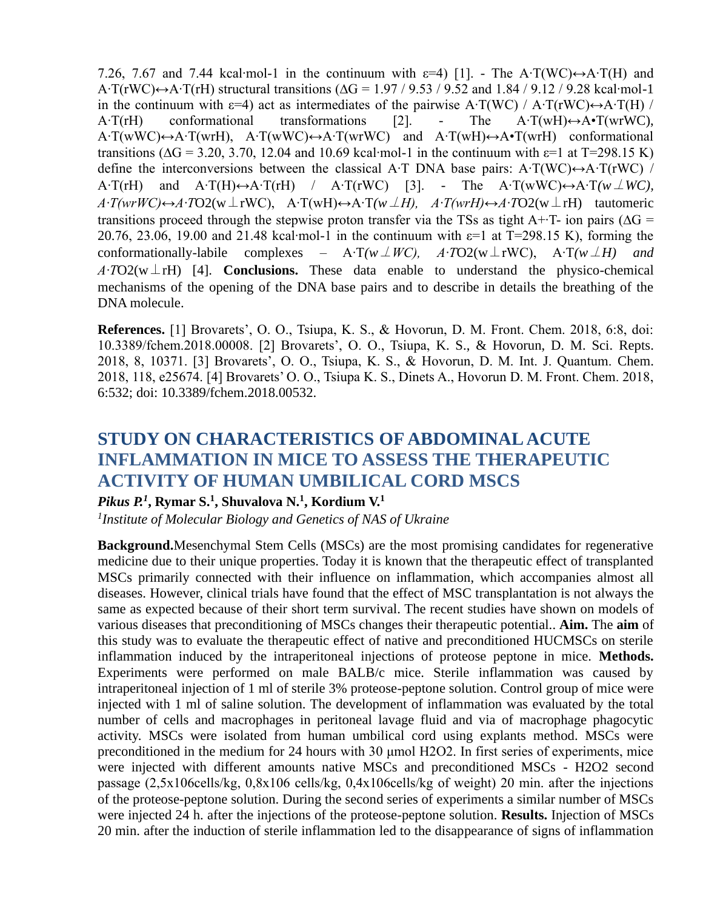7.26, 7.67 and 7.44 kcal⋅mol-1 in the continuum with  $\varepsilon$ =4) [1]. - The A⋅T(WC)←A⋅T(H) and A⋅T(rWC) $\leftrightarrow$ A⋅T(rH) structural transitions ( $\Delta G = 1.97 / 9.53 / 9.52$  and 1.84 / 9.12 / 9.28 kcal⋅mol-1 in the continuum with  $\varepsilon$ =4) act as intermediates of the pairwise A $\cdot T(WC) / A\cdot T(rWC) \leftrightarrow A\cdot T(H) /$ А∙Т(rH) conformational transformations [2]. - The A∙T(wH)↔А•Т(wrWC), A∙T(wWC)↔A∙T(wrH), A∙T(wWC)↔A∙T(wrWC) and A∙T(wH)↔А•Т(wrH) conformational transitions ( $\Delta G = 3.20$ , 3.70, 12.04 and 10.69 kcal⋅mol-1 in the continuum with  $\varepsilon$ =1 at T=298.15 K) define the interconversions between the classical A∙T DNA base pairs: A∙T(WC)↔A∙T(rWC) / A∙T(rH) and A∙T(H)↔A∙T(rH) / A∙T(rWC) [3]. - The A∙T(wWC)↔A∙T*(w*⊥*WC), A∙T(wrWC)↔A∙T*O2(w⊥rWC), A∙T(wH)↔A∙T*(w*⊥*H), A∙T(wrH)↔A∙T*O2(w⊥rH) tautomeric transitions proceed through the stepwise proton transfer via the TSs as tight A+ $\cdot$ T- ion pairs ( $\Delta G =$ 20.76, 23.06, 19.00 and 21.48 kcal∙mol-1 in the continuum with ε=1 at T=298.15 K), forming the conformationally-labile complexes – A∙T*(w*⊥*WC), A∙T*O2(w⊥rWC), A∙T*(w*⊥*H) and A∙T*O2(w⊥rH) [4]. **Conclusions.** These data enable to understand the physico-chemical mechanisms of the opening of the DNA base pairs and to describe in details the breathing of the DNA molecule.

**References.** [1] Brovarets', O. O., Tsiupa, K. S., & Hovorun, D. M. Front. Chem. 2018, 6:8, doi: 10.3389/fchem.2018.00008. [2] Brovarets', O. O., Tsiupa, K. S., & Hovorun, D. M. Sci. Repts. 2018, 8, 10371. [3] Brovarets', O. O., Tsiupa, K. S., & Hovorun, D. M. Int. J. Quantum. Chem. 2018, 118, e25674. [4] Brovarets' O. O., Tsiupa K. S., Dinets A., Hovorun D. M. Front. Chem. 2018, 6:532; doi: 10.3389/fchem.2018.00532.

# **STUDY ON CHARACTERISTICS OF ABDOMINAL ACUTE INFLAMMATION IN MICE TO ASSESS THE THERAPEUTIC ACTIVITY OF HUMAN UMBILICAL CORD MSCS**

### *Pikus P.<sup>1</sup>* **, Rymar S.<sup>1</sup> , Shuvalova N.<sup>1</sup> , Kordium V.<sup>1</sup>**

*1 Institute of Molecular Biology and Genetics of NAS of Ukraine*

**Background.**Mesenchymal Stem Cells (MSCs) are the most promising candidates for regenerative medicine due to their unique properties. Today it is known that the therapeutic effect of transplanted MSCs primarily connected with their influence on inflammation, which accompanies almost all diseases. However, clinical trials have found that the effect of MSC transplantation is not always the same as expected because of their short term survival. The recent studies have shown on models of various diseases that preconditioning of MSCs changes their therapeutic potential.. **Aim.** The **aim** of this study was to evaluate the therapeutic effect of native and preconditioned HUCMSCs on sterile inflammation induced by the intraperitoneal injections of proteose peptone in mice. **Methods.** Experiments were performed on male BALB/c mice. Sterile inflammation was caused by intraperitoneal injection of 1 ml of sterile 3% proteose-peptone solution. Control group of mice were injected with 1 ml of saline solution. The development of inflammation was evaluated by the total number of cells and macrophages in peritoneal lavage fluid and via of macrophage phagocytic activity. MSCs were isolated from human umbilical cord using explants method. MSCs were preconditioned in the medium for 24 hours with 30 μmol H2O2. In first series of experiments, mice were injected with different amounts native MSCs and preconditioned MSCs - H2O2 second passage (2,5х106cells/kg, 0,8х106 cells/kg, 0,4х106cells/kg of weight) 20 min. after the injections of the proteose-peptone solution. During the second series of experiments a similar number of MSCs were injected 24 h. after the injections of the proteose-peptone solution. **Results.** Injection of MSCs 20 min. after the induction of sterile inflammation led to the disappearance of signs of inflammation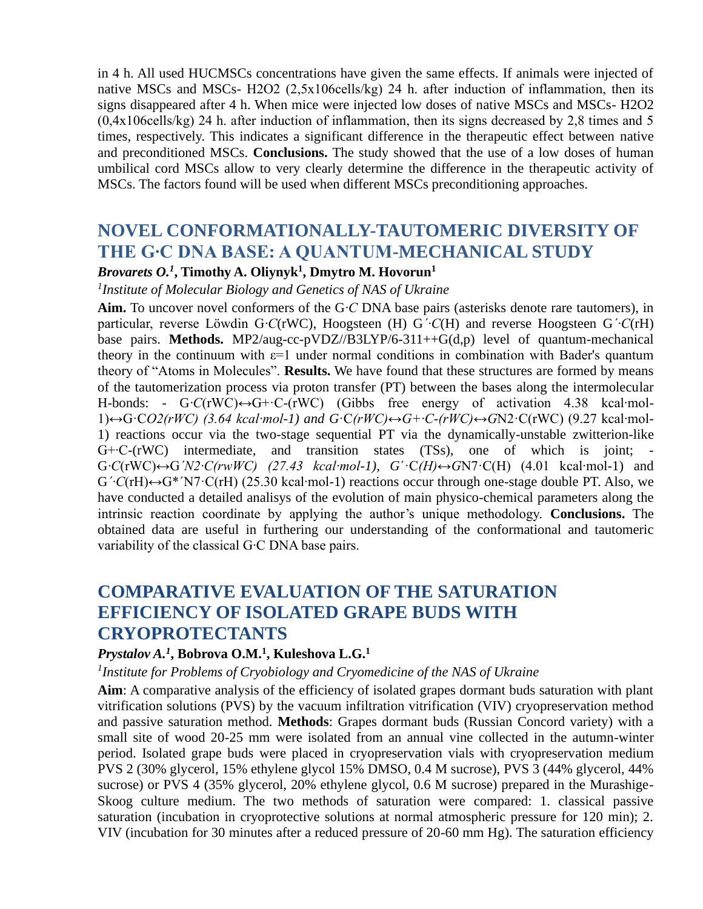in 4 h. All used HUCMSCs concentrations have given the same effects. If animals were injected of native MSCs and MSCs- H2O2 (2,5x106cells/kg) 24 h. after induction of inflammation, then its signs disappeared after 4 h. When mice were injected low doses of native MSCs and MSCs- H2O2 (0,4х106cells/kg) 24 h. after induction of inflammation, then its signs decreased by 2,8 times and 5 times, respectively. This indicates a significant difference in the therapeutic effect between native and preconditioned MSCs. **Conclusions.** The study showed that the use of a low doses of human umbilical cord MSCs allow to very clearly determine the difference in the therapeutic activity of MSCs. The factors found will be used when different MSCs preconditioning approaches.

### **NOVEL CONFORMATIONALLY-TAUTOMERIC DIVERSITY OF THE G∙C DNA BASE: A QUANTUM-MECHANICAL STUDY**

#### *Brovarets O.<sup>1</sup>* **, Timothy A. Oliynyk<sup>1</sup> , Dmytro M. Hovorun<sup>1</sup>**

*1 Institute of Molecular Biology and Genetics of NAS of Ukraine*

**Aim.** To uncover novel conformers of the G*∙C* DNA base pairs (asterisks denote rare tautomers), in particular, reverse Löwdin G*∙C*(rWC), Hoogsteen (H) G*´∙C*(H) and reverse Hoogsteen G*´∙C*(rH) base pairs. **Methods.** MP2/aug-cc-pVDZ//B3LYP/6-311++G(d,p) level of quantum-mechanical theory in the continuum with  $\varepsilon=1$  under normal conditions in combination with Bader's quantum theory of "Atoms in Molecules". **Results.** We have found that these structures are formed by means of the tautomerization process via proton transfer (PT) between the bases along the intermolecular H-bonds: - G*∙C*(rWC)↔G+·C-(rWC) (Gibbs free energy of activation 4.38 kcal∙mol-1)↔G·C*O2(rWC) (3.64 kcal∙mol-1) and G*·C*(rWC)↔G+∙C-(rWC)↔G*N2·C(rWC) (9.27 kcal∙mol-1) reactions occur via the two-stage sequential PT via the dynamically-unstable zwitterion-like G+⋅C-(rWC) intermediate, and transition states (TSs), one of which is joint; -G*∙C*(rWC)↔G*´N2∙C(rwWC) (27.43 kcal∙mol-1), G*´·C*(H)↔G*N7·C(H) (4.01 kcal∙mol-1) and G*´∙C*(rH)↔G\*´N7·C(rH) (25.30 kcal∙mol-1) reactions occur through one-stage double PT. Also, we have conducted a detailed analisys of the evolution of main physico-chemical parameters along the intrinsic reaction coordinate by applying the author's unique methodology. **Conclusions.** The obtained data are useful in furthering our understanding of the conformational and tautomeric variability of the classical G∙C DNA base pairs.

## **COMPARATIVE EVALUATION OF THE SATURATION EFFICIENCY OF ISOLATED GRAPE BUDS WITH CRYOPROTECTANTS**

#### *Prystalov A.<sup>1</sup>* **, Bobrova O.M.<sup>1</sup> , Kuleshova L.G.<sup>1</sup>**

#### *1 Institute for Problems of Cryobiology and Cryomedicine of the NAS of Ukraine*

**Aim**: A comparative analysis of the efficiency of isolated grapes dormant buds saturation with plant vitrification solutions (PVS) by the vacuum infiltration vitrification (VIV) cryopreservation method and passive saturation method. **Methods**: Grapes dormant buds (Russian Concord variety) with a small site of wood 20-25 mm were isolated from an annual vine collected in the autumn-winter period. Isolated grape buds were placed in cryopreservation vials with cryopreservation medium PVS 2 (30% glycerol, 15% ethylene glycol 15% DMSO, 0.4 M sucrose), PVS 3 (44% glycerol, 44% sucrose) or PVS 4 (35% glycerol, 20% ethylene glycol, 0.6 M sucrose) prepared in the Murashige-Skoog culture medium. The two methods of saturation were compared: 1. classical passive saturation (incubation in cryoprotective solutions at normal atmospheric pressure for 120 min); 2. VIV (incubation for 30 minutes after a reduced pressure of 20-60 mm Hg). The saturation efficiency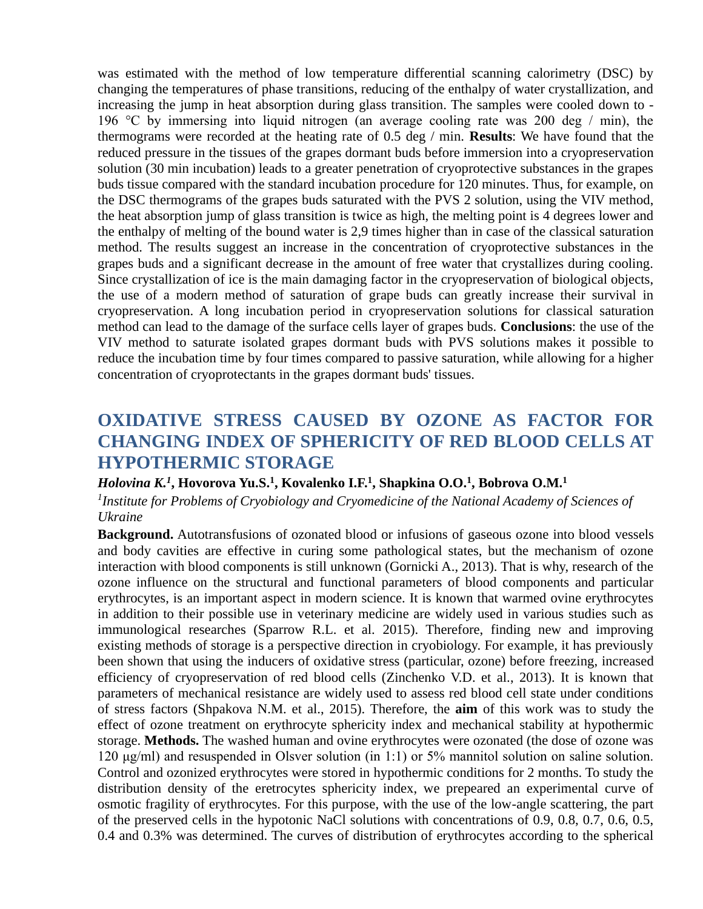was estimated with the method of low temperature differential scanning calorimetry (DSC) by changing the temperatures of phase transitions, reducing of the enthalpy of water crystallization, and increasing the jump in heat absorption during glass transition. The samples were cooled down to - 196 °C by immersing into liquid nitrogen (an average cooling rate was 200 deg / min), the thermograms were recorded at the heating rate of 0.5 deg / min. **Results**: We have found that the reduced pressure in the tissues of the grapes dormant buds before immersion into a cryopreservation solution (30 min incubation) leads to a greater penetration of cryoprotective substances in the grapes buds tissue compared with the standard incubation procedure for 120 minutes. Thus, for example, on the DSC thermograms of the grapes buds saturated with the PVS 2 solution, using the VIV method, the heat absorption jump of glass transition is twice as high, the melting point is 4 degrees lower and the enthalpy of melting of the bound water is 2,9 times higher than in case of the classical saturation method. The results suggest an increase in the concentration of cryoprotective substances in the grapes buds and a significant decrease in the amount of free water that crystallizes during cooling. Since crystallization of ice is the main damaging factor in the cryopreservation of biological objects, the use of a modern method of saturation of grape buds can greatly increase their survival in cryopreservation. A long incubation period in cryopreservation solutions for classical saturation method can lead to the damage of the surface cells layer of grapes buds. **Conclusions**: the use of the VIV method to saturate isolated grapes dormant buds with PVS solutions makes it possible to reduce the incubation time by four times compared to passive saturation, while allowing for a higher concentration of cryoprotectants in the grapes dormant buds' tissues.

# **OXIDATIVE STRESS CAUSED BY OZONE AS FACTOR FOR CHANGING INDEX OF SPHERICITY OF RED BLOOD CELLS AT HYPOTHERMIC STORAGE**

#### *Holovina K.<sup>1</sup>* **, Hovorova Yu.S.<sup>1</sup> , Kovalenko I.F.<sup>1</sup> , Shapkina O.O.<sup>1</sup> , Bobrova O.M.<sup>1</sup>**

#### <sup>1</sup> Institute for Problems of Cryobiology and Cryomedicine of the National Academy of Sciences of *Ukraine*

**Background.** Autotransfusions of ozonated blood or infusions of gaseous ozone into blood vessels and body cavities are effective in curing some pathological states, but the mechanism of ozone interaction with blood components is still unknown (Gornicki A., 2013). That is why, research of the ozone influence on the structural and functional parameters of blood components and particular erythrocytes, is an important aspect in modern science. It is known that warmed ovine erythrocytes in addition to their possible use in veterinary medicine are widely used in various studies such as immunological researches (Sparrow R.L. et al. 2015). Therefore, finding new and improving existing methods of storage is a perspective direction in cryobiology. For example, it has previously been shown that using the inducers of oxidative stress (particular, ozone) before freezing, increased efficiency of cryopreservation of red blood cells (Zinchenko V.D. et al., 2013). It is known that parameters of mechanical resistance are widely used to assess red blood cell state under conditions of stress factors (Shpakova N.M. et al., 2015). Therefore, the **aim** of this work was to study the effect of ozone treatment on erythrocyte sphericity index and mechanical stability at hypothermic storage. **Methods.** The washed human and ovine erythrocytes were ozonated (the dose of ozone was 120 μg/ml) and resuspended in Olsver solution (in 1:1) or 5% mannitol solution on saline solution. Control and ozonized erythrocytes were stored in hypothermic conditions for 2 months. To study the distribution density of the eretrocytes sphericity index, we prepeared an experimental curve of osmotic fragility of erythrocytes. For this purpose, with the use of the low-angle scattering, the part of the preserved cells in the hypotonic NaCl solutions with concentrations of 0.9, 0.8, 0.7, 0.6, 0.5, 0.4 and 0.3% was determined. The curves of distribution of erythrocytes according to the spherical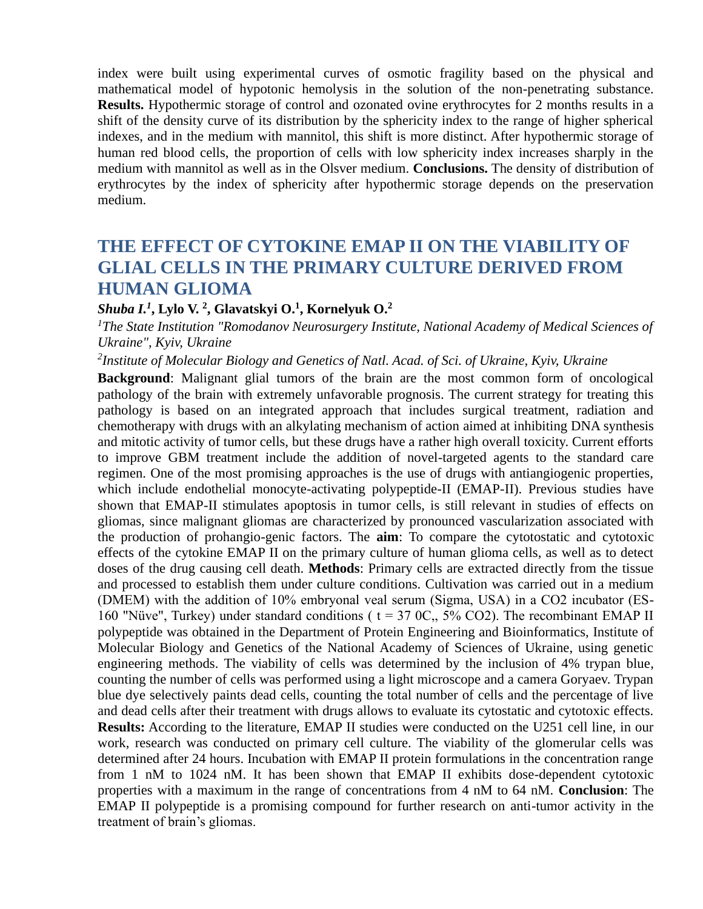index were built using experimental curves of osmotic fragility based on the physical and mathematical model of hypotonic hemolysis in the solution of the non-penetrating substance. **Results.** Hypothermic storage of control and ozonated ovine erythrocytes for 2 months results in a shift of the density curve of its distribution by the sphericity index to the range of higher spherical indexes, and in the medium with mannitol, this shift is more distinct. After hypothermic storage of human red blood cells, the proportion of cells with low sphericity index increases sharply in the medium with mannitol as well as in the Olsver medium. **Conclusions.** The density of distribution of erythrocytes by the index of sphericity after hypothermic storage depends on the preservation medium.

### **THE EFFECT OF CYTOKINE EMAP II ON THE VIABILITY OF GLIAL CELLS IN THE PRIMARY CULTURE DERIVED FROM HUMAN GLIOMA**

#### *Shuba I.<sup>1</sup>* **, Lylo V. <sup>2</sup> , Glavatskyi O.<sup>1</sup> , Kornelyuk O.<sup>2</sup>**

### *<sup>1</sup>The State Institution "Romodanov Neurosurgery Institute, National Academy of Medical Sciences of Ukraine", Kyiv, Ukraine*

*2 Institute of Molecular Biology and Genetics of Natl. Acad. of Sci. of Ukraine, Kyiv, Ukraine*

**Background**: Malignant glial tumors of the brain are the most common form of oncological pathology of the brain with extremely unfavorable prognosis. The current strategy for treating this pathology is based on an integrated approach that includes surgical treatment, radiation and chemotherapy with drugs with an alkylating mechanism of action aimed at inhibiting DNA synthesis and mitotic activity of tumor cells, but these drugs have a rather high overall toxicity. Current efforts to improve GBM treatment include the addition of novel-targeted agents to the standard care regimen. One of the most promising approaches is the use of drugs with antiangiogenic properties, which include endothelial monocyte-activating polypeptide-II (EMAP-II). Previous studies have shown that EMAP-II stimulates apoptosis in tumor cells, is still relevant in studies of effects on gliomas, since malignant gliomas are characterized by pronounced vascularization associated with the production of prohangio-genic factors. The **aim**: To compare the cytotostatic and cytotoxic effects of the cytokine EMAP II on the primary culture of human glioma cells, as well as to detect doses of the drug causing cell death. **Methods**: Primary cells are extracted directly from the tissue and processed to establish them under culture conditions. Cultivation was carried out in a medium (DMEM) with the addition of 10% embryonal veal serum (Sigma, USA) in a СО2 incubator (ES-160 "Nüve", Turkey) under standard conditions ( $t = 37$  0C,  $5\%$  CO2). The recombinant EMAP II polypeptide was obtained in the Department of Protein Engineering and Bioinformatics, Institute of Molecular Biology and Genetics of the National Academy of Sciences of Ukraine, using genetic engineering methods. The viability of cells was determined by the inclusion of 4% trypan blue, counting the number of cells was performed using a light microscope and a camera Goryaev. Trypan blue dye selectively paints dead cells, counting the total number of cells and the percentage of live and dead cells after their treatment with drugs allows to evaluate its cytostatic and cytotoxic effects. **Results:** According to the literature, EMAP II studies were conducted on the U251 cell line, in our work, research was conducted on primary cell culture. The viability of the glomerular cells was determined after 24 hours. Incubation with EMAP II protein formulations in the concentration range from 1 nM to 1024 nM. It has been shown that EMAP II exhibits dose-dependent cytotoxic properties with a maximum in the range of concentrations from 4 nM to 64 nM. **Conclusion**: The EMAP II polypeptide is a promising compound for further research on anti-tumor activity in the treatment of brain's gliomas.